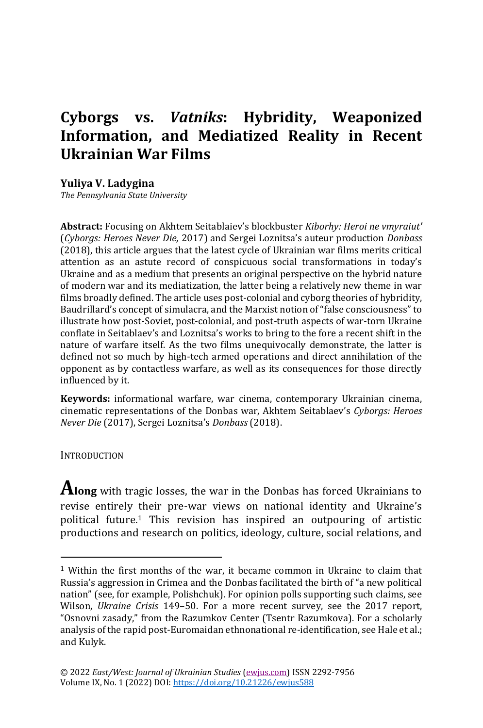# **Cyborgs vs.** *Vatniks***: Hybridity, Weaponized Information, and Mediatized Reality in Recent Ukrainian War Films**

**Yuliya V. Ladygina**

*The Pennsylvania State University*

**Abstract:** Focusing on Akhtem Seitablaiev's blockbuster *Kiborhy: Heroi ne vmyraiut'* (*Cyborgs: Heroes Never Die,* 2017) and Sergei Loznitsa's auteur production *Donbass*  (2018), this article argues that the latest cycle of Ukrainian war films merits critical attention as an astute record of conspicuous social transformations in today's Ukraine and as a medium that presents an original perspective on the hybrid nature of modern war and its mediatization, the latter being a relatively new theme in war films broadly defined. The article uses post-colonial and cyborg theories of hybridity, Baudrillard's concept of simulacra, and the Marxist notion of "false consciousness" to illustrate how post-Soviet, post-colonial, and post-truth aspects of war-torn Ukraine conflate in Seitablaev's and Loznitsa's works to bring to the fore a recent shift in the nature of warfare itself. As the two films unequivocally demonstrate, the latter is defined not so much by high-tech armed operations and direct annihilation of the opponent as by contactless warfare, as well as its consequences for those directly influenced by it.

**Keywords:** informational warfare, war cinema, contemporary Ukrainian cinema, cinematic representations of the Donbas war, Akhtem Seitablaev's *Cyborgs: Heroes Never Die* (2017), Sergei Loznitsa's *Donbass* (2018).

**INTRODUCTION** 

**Along** with tragic losses, the war in the Donbas has forced Ukrainians to revise entirely their pre-war views on national identity and Ukraine's political future.<sup>1</sup> This revision has inspired an outpouring of artistic productions and research on politics, ideology, culture, social relations, and

 $1$  Within the first months of the war, it became common in Ukraine to claim that Russia's aggression in Crimea and the Donbas facilitated the birth of "a new political nation" (see, for example, Polishchuk). For opinion polls supporting such claims, see Wilson, *Ukraine Crisis* 149–50. For a more recent survey, see the 2017 report, "Osnovni zasady," from the Razumkov Center (Tsentr Razumkova). For a scholarly analysis of the rapid post-Euromaidan ethnonational re-identification, see Hale et al.; and Kulyk.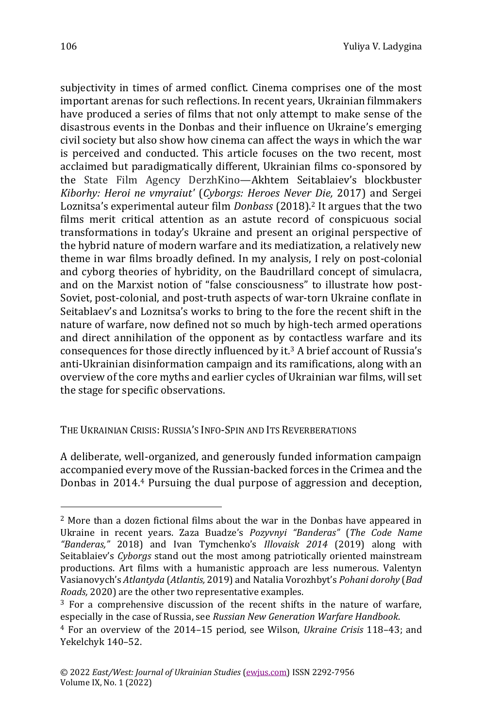subjectivity in times of armed conflict. Cinema comprises one of the most important arenas for such reflections. In recent years, Ukrainian filmmakers have produced a series of films that not only attempt to make sense of the disastrous events in the Donbas and their influence on Ukraine's emerging civil society but also show how cinema can affect the ways in which the war is perceived and conducted. This article focuses on the two recent, most acclaimed but paradigmatically different, Ukrainian films co-sponsored by the State Film Agency DerzhKino—Akhtem Seitablaiev's blockbuster *Kiborhy: Heroi ne vmyraiut'* (*Cyborgs: Heroes Never Die,* 2017) and Sergei Loznitsa's experimental auteur film *Donbass* (2018).<sup>2</sup> It argues that the two films merit critical attention as an astute record of conspicuous social transformations in today's Ukraine and present an original perspective of the hybrid nature of modern warfare and its mediatization, a relatively new theme in war films broadly defined. In my analysis, I rely on post-colonial and cyborg theories of hybridity, on the Baudrillard concept of simulacra, and on the Marxist notion of "false consciousness" to illustrate how post-Soviet, post-colonial, and post-truth aspects of war-torn Ukraine conflate in Seitablaev's and Loznitsa's works to bring to the fore the recent shift in the nature of warfare, now defined not so much by high-tech armed operations and direct annihilation of the opponent as by contactless warfare and its consequences for those directly influenced by  $it^3$  A brief account of Russia's anti-Ukrainian disinformation campaign and its ramifications, along with an overview of the core myths and earlier cycles of Ukrainian war films, will set the stage for specific observations.

THE UKRAINIAN CRISIS: RUSSIA'S INFO-SPIN AND ITS REVERBERATIONS

A deliberate, well-organized, and generously funded information campaign accompanied every move of the Russian-backed forces in the Crimea and the Donbas in 2014.<sup>4</sup> Pursuing the dual purpose of aggression and deception,

<sup>2</sup> More than a dozen fictional films about the war in the Donbas have appeared in Ukraine in recent years. Zaza Buadze's *Pozyvnyi "Banderas"* (*The Code Name "Banderas,"* 2018) and Ivan Tymchenko's *Illovaisk 2014* (2019) along with Seitablaiev's *Cyborgs* stand out the most among patriotically oriented mainstream productions. Art films with a humanistic approach are less numerous. Valentyn Vasianovych's *Atlantyda* (*Atlantis,* 2019) and Natalia Vorozhbyt's *Pohani dorohy* (*Bad Roads,* 2020) are the other two representative examples.

<sup>3</sup> For a comprehensive discussion of the recent shifts in the nature of warfare, especially in the case of Russia, see *Russian New Generation Warfare Handbook*.

<sup>4</sup> For an overview of the 2014–15 period, see Wilson, *Ukraine Crisis* 118–43; and Yekelchyk 140–52.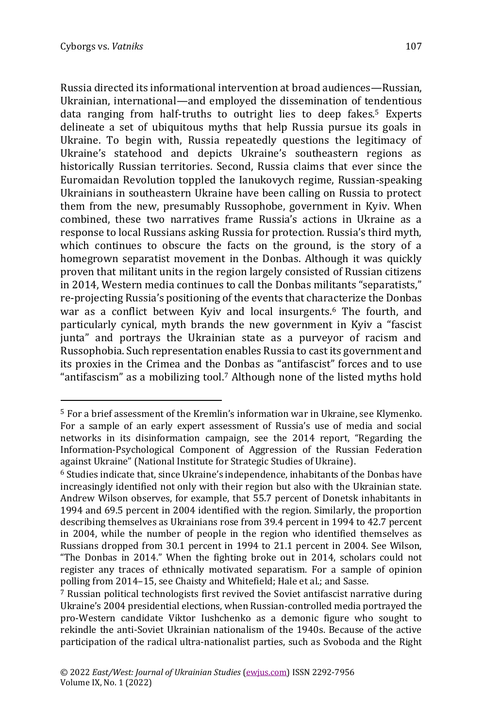Russia directed its informational intervention at broad audiences—Russian, Ukrainian, international—and employed the dissemination of tendentious data ranging from half-truths to outright lies to deep fakes.<sup>5</sup> Experts delineate a set of ubiquitous myths that help Russia pursue its goals in Ukraine. To begin with, Russia repeatedly questions the legitimacy of Ukraine's statehood and depicts Ukraine's southeastern regions as historically Russian territories. Second, Russia claims that ever since the Euromaidan Revolution toppled the Ianukovych regime, Russian-speaking Ukrainians in southeastern Ukraine have been calling on Russia to protect them from the new, presumably Russophobe, government in Kyiv. When combined, these two narratives frame Russia's actions in Ukraine as a response to local Russians asking Russia for protection. Russia's third myth, which continues to obscure the facts on the ground, is the story of a homegrown separatist movement in the Donbas. Although it was quickly proven that militant units in the region largely consisted of Russian citizens in 2014, Western media continues to call the Donbas militants "separatists," re-projecting Russia's positioning of the events that characterize the Donbas war as a conflict between Kyiv and local insurgents.<sup>6</sup> The fourth, and particularly cynical, myth brands the new government in Kyiv a "fascist junta" and portrays the Ukrainian state as a purveyor of racism and Russophobia. Such representation enables Russia to cast its government and its proxies in the Crimea and the Donbas as "antifascist" forces and to use "antifascism" as a mobilizing tool.<sup>7</sup> Although none of the listed myths hold

<sup>5</sup> For a brief assessment of the Kremlin's information war in Ukraine, see Klymenko. For a sample of an early expert assessment of Russia's use of media and social networks in its disinformation campaign, see the 2014 report, "Regarding the Information-Psychological Component of Aggression of the Russian Federation against Ukraine" (National Institute for Strategic Studies of Ukraine).

<sup>6</sup> Studies indicate that, since Ukraine's independence, inhabitants of the Donbas have increasingly identified not only with their region but also with the Ukrainian state. Andrew Wilson observes, for example, that 55.7 percent of Donetsk inhabitants in 1994 and 69.5 percent in 2004 identified with the region. Similarly, the proportion describing themselves as Ukrainians rose from 39.4 percent in 1994 to 42.7 percent in 2004, while the number of people in the region who identified themselves as Russians dropped from 30.1 percent in 1994 to 21.1 percent in 2004. See Wilson, "The Donbas in 2014." When the fighting broke out in 2014, scholars could not register any traces of ethnically motivated separatism. For a sample of opinion polling from 2014–15, see Chaisty and Whitefield; Hale et al.; and Sasse.

<sup>7</sup> Russian political technologists first revived the Soviet antifascist narrative during Ukraine's 2004 presidential elections, when Russian-controlled media portrayed the pro-Western candidate Viktor Iushchenko as a demonic figure who sought to rekindle the anti-Soviet Ukrainian nationalism of the 1940s. Because of the active participation of the radical ultra-nationalist parties, such as Svoboda and the Right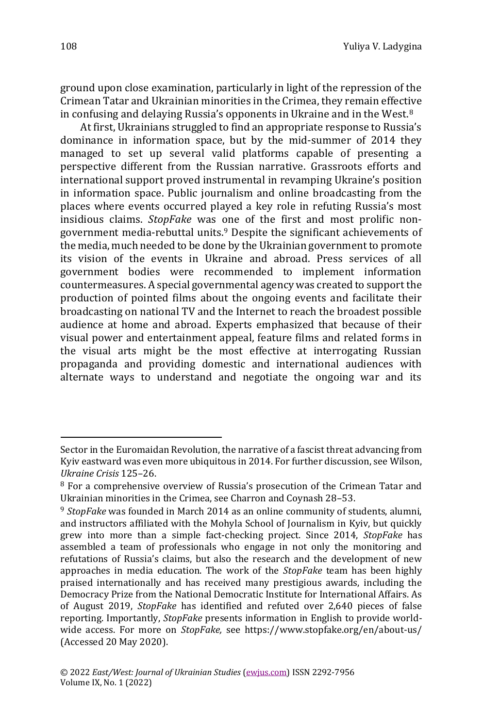ground upon close examination, particularly in light of the repression of the Crimean Tatar and Ukrainian minorities in the Crimea, they remain effective in confusing and delaying Russia's opponents in Ukraine and in the West.<sup>8</sup>

At first, Ukrainians struggled to find an appropriate response to Russia's dominance in information space, but by the mid-summer of 2014 they managed to set up several valid platforms capable of presenting a perspective different from the Russian narrative. Grassroots efforts and international support proved instrumental in revamping Ukraine's position in information space. Public journalism and online broadcasting from the places where events occurred played a key role in refuting Russia's most insidious claims. *StopFake* was one of the first and most prolific nongovernment media-rebuttal units.<sup>9</sup> Despite the significant achievements of the media, much needed to be done by the Ukrainian government to promote its vision of the events in Ukraine and abroad. Press services of all government bodies were recommended to implement information countermeasures. A special governmental agency was created to support the production of pointed films about the ongoing events and facilitate their broadcasting on national TV and the Internet to reach the broadest possible audience at home and abroad. Experts emphasized that because of their visual power and entertainment appeal, feature films and related forms in the visual arts might be the most effective at interrogating Russian propaganda and providing domestic and international audiences with alternate ways to understand and negotiate the ongoing war and its

Sector in the Euromaidan Revolution, the narrative of a fascist threat advancing from Kyiv eastward was even more ubiquitous in 2014. For further discussion, see Wilson, *Ukraine Crisis* 125–26.

<sup>8</sup> For a comprehensive overview of Russia's prosecution of the Crimean Tatar and Ukrainian minorities in the Crimea, see Charron and Coynash 28–53.

<sup>9</sup> *StopFake* was founded in March 2014 as an online community of students, alumni, and instructors affiliated with the Mohyla School of Journalism in Kyiv, but quickly grew into more than a simple fact-checking project. Since 2014, *StopFake* has assembled a team of professionals who engage in not only the monitoring and refutations of Russia's claims, but also the research and the development of new approaches in media education. The work of the *StopFake* team has been highly praised internationally and has received many prestigious awards, including the Democracy Prize from the National Democratic Institute for International Affairs. As of August 2019, *StopFake* has identified and refuted over 2,640 pieces of false reporting. Importantly, *StopFake* presents information in English to provide worldwide access. For more on *StopFake,* see<https://www.stopfake.org/en/about-us/> (Accessed 20 May 2020).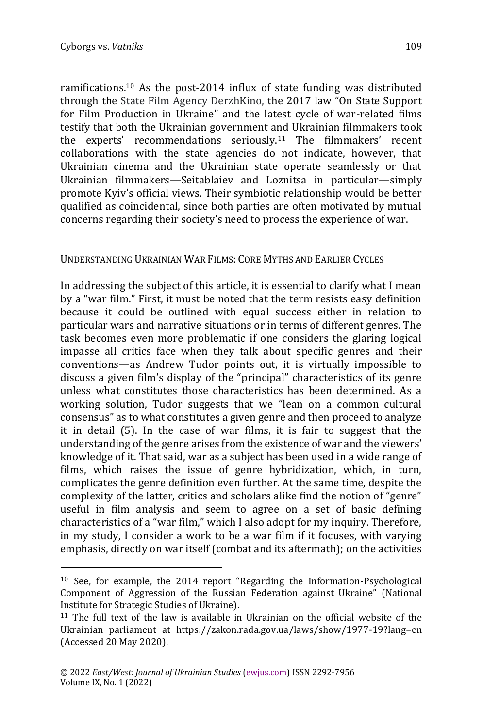ramifications.<sup>10</sup> As the post-2014 influx of state funding was distributed through the State Film Agency DerzhKino, the 2017 law "On State Support for Film Production in Ukraine" and the latest cycle of war-related films testify that both the Ukrainian government and Ukrainian filmmakers took the experts' recommendations seriously.<sup>11</sup> The filmmakers' recent collaborations with the state agencies do not indicate, however, that Ukrainian cinema and the Ukrainian state operate seamlessly or that Ukrainian filmmakers—Seitablaiev and Loznitsa in particular—simply promote Kyiv's official views. Their symbiotic relationship would be better qualified as coincidental, since both parties are often motivated by mutual concerns regarding their society's need to process the experience of war.

## UNDERSTANDING UKRAINIAN WAR FILMS: CORE MYTHS AND EARLIER CYCLES

In addressing the subject of this article, it is essential to clarify what I mean by a "war film." First, it must be noted that the term resists easy definition because it could be outlined with equal success either in relation to particular wars and narrative situations or in terms of different genres. The task becomes even more problematic if one considers the glaring logical impasse all critics face when they talk about specific genres and their conventions—as Andrew Tudor points out, it is virtually impossible to discuss a given film's display of the "principal" characteristics of its genre unless what constitutes those characteristics has been determined. As a working solution, Tudor suggests that we "lean on a common cultural consensus" as to what constitutes a given genre and then proceed to analyze it in detail (5). In the case of war films, it is fair to suggest that the understanding of the genre arises from the existence of war and the viewers' knowledge of it. That said, war as a subject has been used in a wide range of films, which raises the issue of genre hybridization, which, in turn, complicates the genre definition even further. At the same time, despite the complexity of the latter, critics and scholars alike find the notion of "genre" useful in film analysis and seem to agree on a set of basic defining characteristics of a "war film," which I also adopt for my inquiry. Therefore, in my study, I consider a work to be a war film if it focuses, with varying emphasis, directly on war itself (combat and its aftermath); on the activities

<sup>10</sup> See, for example, the 2014 report "Regarding the Information-Psychological Component of Aggression of the Russian Federation against Ukraine" (National Institute for Strategic Studies of Ukraine).

<sup>&</sup>lt;sup>11</sup> The full text of the law is available in Ukrainian on the official website of the Ukrainian parliament at <https://zakon.rada.gov.ua/laws/show/1977-19?lang=en> (Accessed 20 May 2020).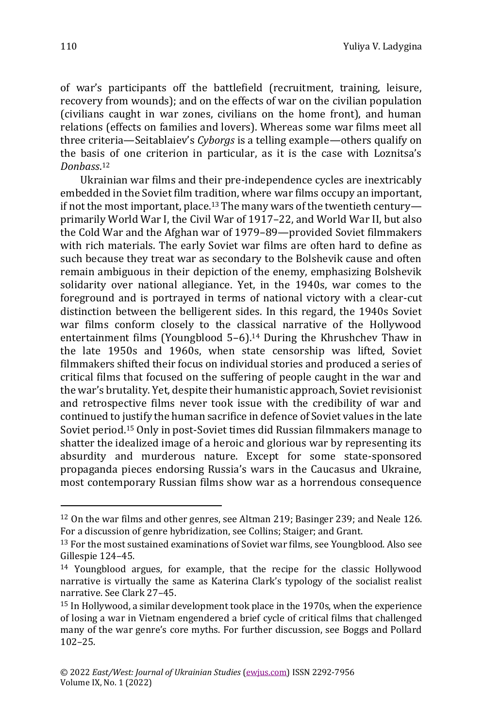of war's participants off the battlefield (recruitment, training, leisure, recovery from wounds); and on the effects of war on the civilian population (civilians caught in war zones, civilians on the home front), and human relations (effects on families and lovers). Whereas some war films meet all three criteria—Seitablaiev's *Cyborgs* is a telling example—others qualify on the basis of one criterion in particular, as it is the case with Loznitsa's *Donbass*. 12

Ukrainian war films and their pre-independence cycles are inextricably embedded in the Soviet film tradition, where war films occupy an important, if not the most important, place.<sup>13</sup> The many wars of the twentieth century primarily World War I, the Civil War of 1917–22, and World War II, but also the Cold War and the Afghan war of 1979–89—provided Soviet filmmakers with rich materials. The early Soviet war films are often hard to define as such because they treat war as secondary to the Bolshevik cause and often remain ambiguous in their depiction of the enemy, emphasizing Bolshevik solidarity over national allegiance. Yet, in the 1940s, war comes to the foreground and is portrayed in terms of national victory with a clear-cut distinction between the belligerent sides. In this regard, the 1940s Soviet war films conform closely to the classical narrative of the Hollywood entertainment films (Youngblood 5–6).<sup>14</sup> During the Khrushchev Thaw in the late 1950s and 1960s, when state censorship was lifted, Soviet filmmakers shifted their focus on individual stories and produced a series of critical films that focused on the suffering of people caught in the war and the war's brutality. Yet, despite their humanistic approach, Soviet revisionist and retrospective films never took issue with the credibility of war and continued to justify the human sacrifice in defence of Soviet values in the late Soviet period.<sup>15</sup> Only in post-Soviet times did Russian filmmakers manage to shatter the idealized image of a heroic and glorious war by representing its absurdity and murderous nature. Except for some state-sponsored propaganda pieces endorsing Russia's wars in the Caucasus and Ukraine, most contemporary Russian films show war as a horrendous consequence

<sup>12</sup> On the war films and other genres, see Altman 219; Basinger 239; and Neale 126. For a discussion of genre hybridization, see Collins; Staiger; and Grant.

<sup>&</sup>lt;sup>13</sup> For the most sustained examinations of Soviet war films, see Youngblood. Also see Gillespie 124–45.

<sup>14</sup> Youngblood argues, for example, that the recipe for the classic Hollywood narrative is virtually the same as Katerina Clark's typology of the socialist realist narrative. See Clark 27–45.

<sup>15</sup> In Hollywood, a similar development took place in the 1970s, when the experience of losing a war in Vietnam engendered a brief cycle of critical films that challenged many of the war genre's core myths. For further discussion, see Boggs and Pollard 102–25.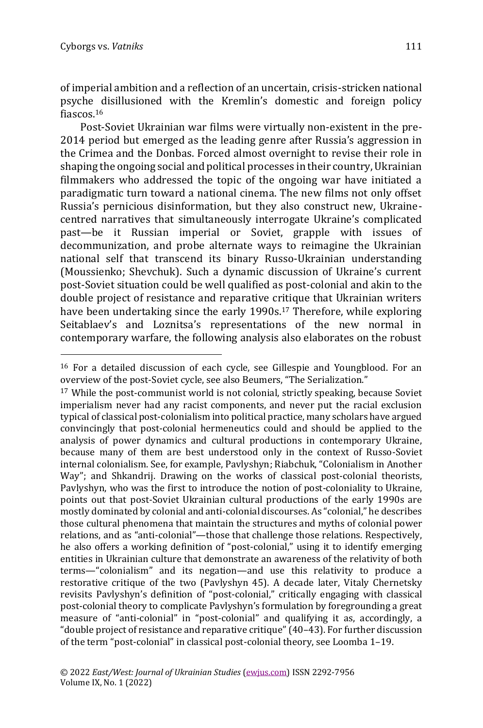of imperial ambition and a reflection of an uncertain, crisis-stricken national psyche disillusioned with the Kremlin's domestic and foreign policy fiascos.<sup>16</sup>

Post-Soviet Ukrainian war films were virtually non-existent in the pre-2014 period but emerged as the leading genre after Russia's aggression in the Crimea and the Donbas. Forced almost overnight to revise their role in shaping the ongoing social and political processes in their country, Ukrainian filmmakers who addressed the topic of the ongoing war have initiated a paradigmatic turn toward a national cinema. The new films not only offset Russia's pernicious disinformation, but they also construct new, Ukrainecentred narratives that simultaneously interrogate Ukraine's complicated past—be it Russian imperial or Soviet, grapple with issues of decommunization, and probe alternate ways to reimagine the Ukrainian national self that transcend its binary Russo-Ukrainian understanding (Moussienko; Shevchuk). Such a dynamic discussion of Ukraine's current post-Soviet situation could be well qualified as post-colonial and akin to the double project of resistance and reparative critique that Ukrainian writers have been undertaking since the early 1990s.<sup>17</sup> Therefore, while exploring Seitablaev's and Loznitsa's representations of the new normal in contemporary warfare, the following analysis also elaborates on the robust

<sup>16</sup> For a detailed discussion of each cycle, see Gillespie and Youngblood. For an overview of the post-Soviet cycle, see also Beumers, "The Serialization."

<sup>&</sup>lt;sup>17</sup> While the post-communist world is not colonial, strictly speaking, because Soviet imperialism never had any racist components, and never put the racial exclusion typical of classical post-colonialism into political practice, many scholars have argued convincingly that post-colonial hermeneutics could and should be applied to the analysis of power dynamics and cultural productions in contemporary Ukraine, because many of them are best understood only in the context of Russo-Soviet internal colonialism. See, for example, Pavlyshyn; Riabchuk, "Colonialism in Another Way"; and Shkandrij. Drawing on the works of classical post-colonial theorists, Pavlyshyn, who was the first to introduce the notion of post-coloniality to Ukraine, points out that post-Soviet Ukrainian cultural productions of the early 1990s are mostly dominated by colonial and anti-colonial discourses. As "colonial," he describes those cultural phenomena that maintain the structures and myths of colonial power relations, and as "anti-colonial"—those that challenge those relations. Respectively, he also offers a working definition of "post-colonial," using it to identify emerging entities in Ukrainian culture that demonstrate an awareness of the relativity of both terms—"colonialism" and its negation—and use this relativity to produce a restorative critique of the two (Pavlyshyn 45). A decade later, Vitaly Chernetsky revisits Pavlyshyn's definition of "post-colonial," critically engaging with classical post-colonial theory to complicate Pavlyshyn's formulation by foregrounding a great measure of "anti-colonial" in "post-colonial" and qualifying it as, accordingly, a "double project of resistance and reparative critique" (40–43). For further discussion of the term "post-colonial" in classical post-colonial theory, see Loomba 1–19.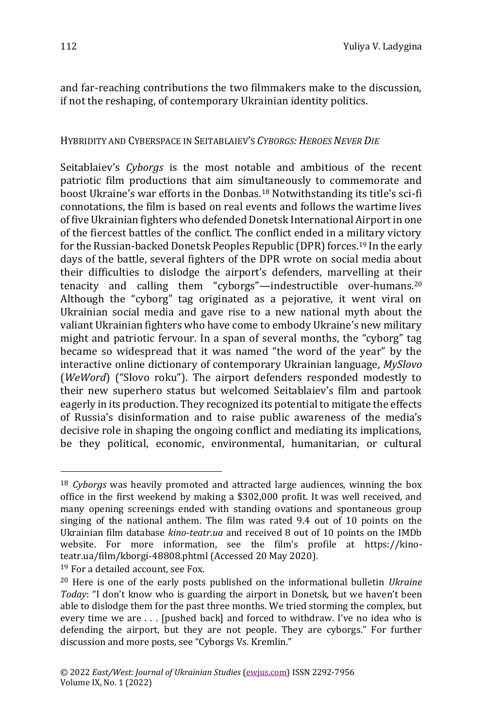and far-reaching contributions the two filmmakers make to the discussion, if not the reshaping, of contemporary Ukrainian identity politics.

# HYBRIDITY AND CYBERSPACE IN SEITABLAIEV'S *CYBORGS: HEROES NEVER DIE*

Seitablaiev's *Cyborgs* is the most notable and ambitious of the recent patriotic film productions that aim simultaneously to commemorate and boost Ukraine's war efforts in the Donbas.<sup>18</sup> Notwithstanding its title's sci-fi connotations, the film is based on real events and follows the wartime lives of five Ukrainian fighters who defended Donetsk International Airport in one of the fiercest battles of the conflict. The conflict ended in a military victory for the Russian-backed Donetsk Peoples Republic (DPR) forces.<sup>19</sup> In the early days of the battle, several fighters of the DPR wrote on social media about their difficulties to dislodge the airport's defenders, marvelling at their tenacity and calling them "cyborgs"—indestructible over-humans.<sup>20</sup> Although the "cyborg" tag originated as a pejorative, it went viral on Ukrainian social media and gave rise to a new national myth about the valiant Ukrainian fighters who have come to embody Ukraine's new military might and patriotic fervour. In a span of several months, the "cyborg" tag became so widespread that it was named "the word of the year" by the interactive online dictionary of contemporary Ukrainian language, *MySlovo* (*WeWord*) ("Slovo roku"). The airport defenders responded modestly to their new superhero status but welcomed Seitablaiev's film and partook eagerly in its production. They recognized its potential to mitigate the effects of Russia's disinformation and to raise public awareness of the media's decisive role in shaping the ongoing conflict and mediating its implications, be they political, economic, environmental, humanitarian, or cultural

<sup>19</sup> For a detailed account, see Fox.

<sup>18</sup> *Cyborgs* was heavily promoted and attracted large audiences, winning the box office in the first weekend by making a \$302,000 profit. It was well received, and many opening screenings ended with standing ovations and spontaneous group singing of the national anthem. The film was rated 9.4 out of 10 points on the Ukrainian film database *kino-teatr.ua* and received 8 out of 10 points on the IMDb website. For more information, see the film's profile at [https://kino](https://kino-teatr.ua/film/kborgi-48808.phtml)[teatr.ua/film/kborgi-48808.phtml](https://kino-teatr.ua/film/kborgi-48808.phtml) (Accessed 20 May 2020).

<sup>20</sup> Here is one of the early posts published on the informational bulletin *Ukraine Today*: "I don't know who is guarding the airport in Donetsk, but we haven't been able to dislodge them for the past three months. We tried storming the complex, but every time we are . . . [pushed back] and forced to withdraw. I've no idea who is defending the airport, but they are not people. They are cyborgs." For further discussion and more posts, see "Cyborgs Vs. Kremlin."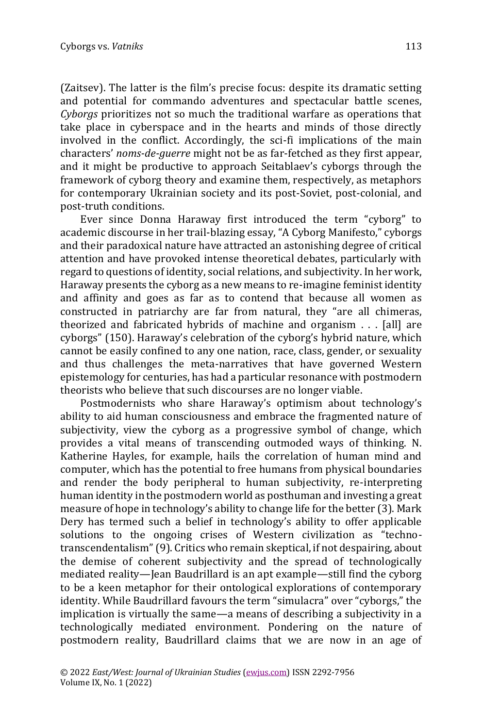(Zaitsev). The latter is the film's precise focus: despite its dramatic setting and potential for commando adventures and spectacular battle scenes, *Cyborgs* prioritizes not so much the traditional warfare as operations that take place in cyberspace and in the hearts and minds of those directly involved in the conflict. Accordingly, the sci-fi implications of the main characters' *noms-de-guerre* might not be as far-fetched as they first appear, and it might be productive to approach Seitablaev's cyborgs through the framework of cyborg theory and examine them, respectively, as metaphors for contemporary Ukrainian society and its post-Soviet, post-colonial, and post-truth conditions.

Ever since Donna Haraway first introduced the term "cyborg" to academic discourse in her trail-blazing essay, "A Cyborg Manifesto," cyborgs and their paradoxical nature have attracted an astonishing degree of critical attention and have provoked intense theoretical debates, particularly with regard to questions of identity, social relations, and subjectivity. In her work, Haraway presents the cyborg as a new means to re-imagine feminist identity and affinity and goes as far as to contend that because all women as constructed in patriarchy are far from natural, they "are all chimeras, theorized and fabricated hybrids of machine and organism . . . [all] are cyborgs" (150). Haraway's celebration of the cyborg's hybrid nature, which cannot be easily confined to any one nation, race, class, gender, or sexuality and thus challenges the meta-narratives that have governed Western epistemology for centuries, has had a particular resonance with postmodern theorists who believe that such discourses are no longer viable.

Postmodernists who share Haraway's optimism about technology's ability to aid human consciousness and embrace the fragmented nature of subjectivity, view the cyborg as a progressive symbol of change, which provides a vital means of transcending outmoded ways of thinking. N. Katherine Hayles, for example, hails the correlation of human mind and computer, which has the potential to free humans from physical boundaries and render the body peripheral to human subjectivity, re-interpreting human identity in the postmodern world as posthuman and investing a great measure of hope in technology's ability to change life for the better (3). Mark Dery has termed such a belief in technology's ability to offer applicable solutions to the ongoing crises of Western civilization as "technotranscendentalism" (9). Critics who remain skeptical, if not despairing, about the demise of coherent subjectivity and the spread of technologically mediated reality—Jean Baudrillard is an apt example—still find the cyborg to be a keen metaphor for their ontological explorations of contemporary identity. While Baudrillard favours the term "simulacra" over "cyborgs," the implication is virtually the same—a means of describing a subjectivity in a technologically mediated environment. Pondering on the nature of postmodern reality, Baudrillard claims that we are now in an age of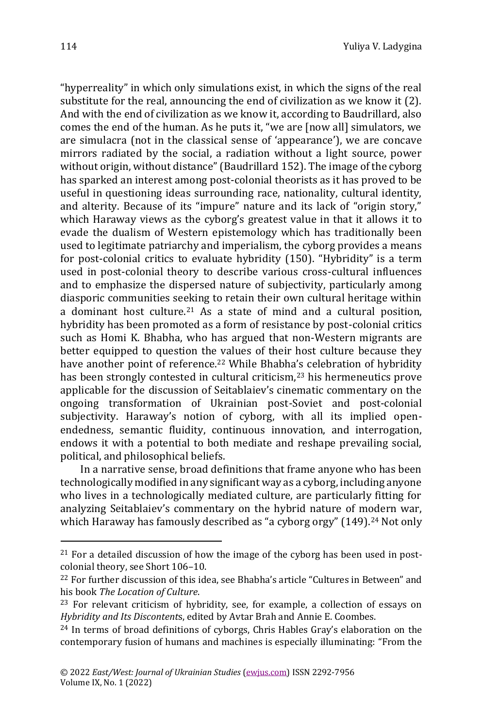"hyperreality" in which only simulations exist, in which the signs of the real substitute for the real, announcing the end of civilization as we know it (2). And with the end of civilization as we know it, according to Baudrillard, also comes the end of the human. As he puts it, "we are [now all] simulators, we are simulacra (not in the classical sense of 'appearance'), we are concave mirrors radiated by the social, a radiation without a light source, power without origin, without distance" (Baudrillard 152). The image of the cyborg has sparked an interest among post-colonial theorists as it has proved to be useful in questioning ideas surrounding race, nationality, cultural identity, and alterity. Because of its "impure" nature and its lack of "origin story," which Haraway views as the cyborg's greatest value in that it allows it to evade the dualism of Western epistemology which has traditionally been used to legitimate patriarchy and imperialism, the cyborg provides a means for post-colonial critics to evaluate hybridity (150). "Hybridity" is a term used in post-colonial theory to describe various cross-cultural influences and to emphasize the dispersed nature of subjectivity, particularly among diasporic communities seeking to retain their own cultural heritage within a dominant host culture.<sup>21</sup> As a state of mind and a cultural position, hybridity has been promoted as a form of resistance by post-colonial critics such as Homi K. Bhabha, who has argued that non-Western migrants are better equipped to question the values of their host culture because they have another point of reference.<sup>22</sup> While Bhabha's celebration of hybridity has been strongly contested in cultural criticism,<sup>23</sup> his hermeneutics prove applicable for the discussion of Seitablaiev's cinematic commentary on the ongoing transformation of Ukrainian post-Soviet and post-colonial subjectivity. Haraway's notion of cyborg, with all its implied openendedness, semantic fluidity, continuous innovation, and interrogation, endows it with a potential to both mediate and reshape prevailing social, political, and philosophical beliefs.

In a narrative sense, broad definitions that frame anyone who has been technologically modified in any significant way as a cyborg, including anyone who lives in a technologically mediated culture, are particularly fitting for analyzing Seitablaiev's commentary on the hybrid nature of modern war, which Haraway has famously described as "a cyborg orgy" (149).<sup>24</sup> Not only

 $21$  For a detailed discussion of how the image of the cyborg has been used in postcolonial theory, see Short 106–10.

<sup>&</sup>lt;sup>22</sup> For further discussion of this idea, see Bhabha's article "Cultures in Between" and his book *The Location of Culture*.

<sup>23</sup> For relevant criticism of hybridity, see, for example, a collection of essays on *Hybridity and Its Discontent*s, edited by Avtar Brah and Annie E. Coombes.

<sup>24</sup> In terms of broad definitions of cyborgs, Chris Hables Gray's elaboration on the contemporary fusion of humans and machines is especially illuminating: "From the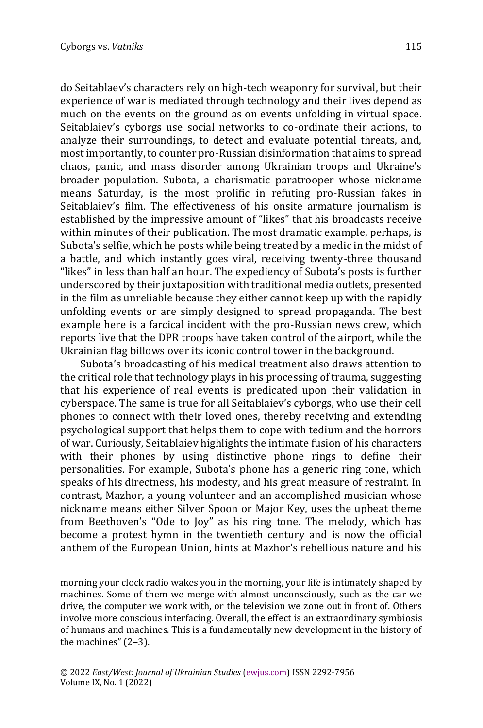do Seitablaev's characters rely on high-tech weaponry for survival, but their experience of war is mediated through technology and their lives depend as much on the events on the ground as on events unfolding in virtual space. Seitablaiev's cyborgs use social networks to co-ordinate their actions, to analyze their surroundings, to detect and evaluate potential threats, and, most importantly, to counter pro-Russian disinformation that aims to spread chaos, panic, and mass disorder among Ukrainian troops and Ukraine's broader population. Subota, a charismatic paratrooper whose nickname means Saturday, is the most prolific in refuting pro-Russian fakes in Seitablaiev's film. The effectiveness of his onsite armature journalism is established by the impressive amount of "likes" that his broadcasts receive within minutes of their publication. The most dramatic example, perhaps, is Subota's selfie, which he posts while being treated by a medic in the midst of a battle, and which instantly goes viral, receiving twenty-three thousand "likes" in less than half an hour. The expediency of Subota's posts is further underscored by their juxtaposition with traditional media outlets, presented in the film as unreliable because they either cannot keep up with the rapidly unfolding events or are simply designed to spread propaganda. The best example here is a farcical incident with the pro-Russian news crew, which reports live that the DPR troops have taken control of the airport, while the Ukrainian flag billows over its iconic control tower in the background.

Subota's broadcasting of his medical treatment also draws attention to the critical role that technology plays in his processing of trauma, suggesting that his experience of real events is predicated upon their validation in cyberspace. The same is true for all Seitablaiev's cyborgs, who use their cell phones to connect with their loved ones, thereby receiving and extending psychological support that helps them to cope with tedium and the horrors of war. Curiously, Seitablaiev highlights the intimate fusion of his characters with their phones by using distinctive phone rings to define their personalities. For example, Subota's phone has a generic ring tone, which speaks of his directness, his modesty, and his great measure of restraint. In contrast, Mazhor, a young volunteer and an accomplished musician whose nickname means either Silver Spoon or Major Key, uses the upbeat theme from Beethoven's "Ode to Joy" as his ring tone. The melody, which has become a protest hymn in the twentieth century and is now the official anthem of the European Union, hints at Mazhor's rebellious nature and his

morning your clock radio wakes you in the morning, your life is intimately shaped by machines. Some of them we merge with almost unconsciously, such as the car we drive, the computer we work with, or the television we zone out in front of. Others involve more conscious interfacing. Overall, the effect is an extraordinary symbiosis of humans and machines. This is a fundamentally new development in the history of the machines" (2–3).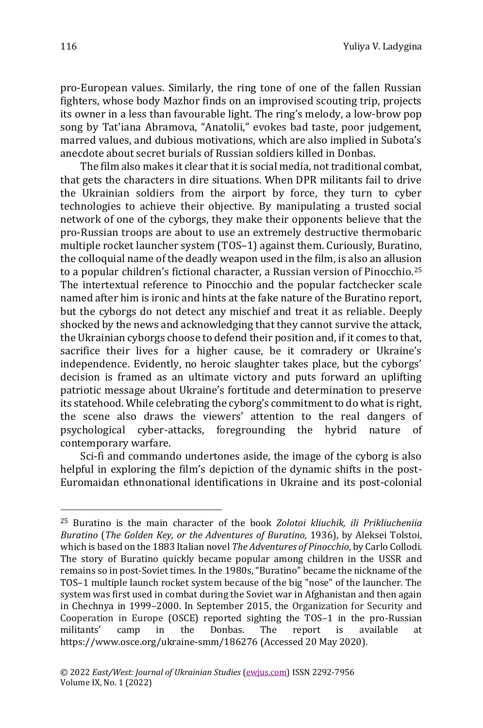pro-European values. Similarly, the ring tone of one of the fallen Russian fighters, whose body Mazhor finds on an improvised scouting trip, projects its owner in a less than favourable light. The ring's melody, a low-brow pop song by Tat'iana Abramova, "Anatolii," evokes bad taste, poor judgement, marred values, and dubious motivations, which are also implied in Subota's anecdote about secret burials of Russian soldiers killed in Donbas.

The film also makes it clear that it is social media, not traditional combat, that gets the characters in dire situations. When DPR militants fail to drive the Ukrainian soldiers from the airport by force, they turn to cyber technologies to achieve their objective. By manipulating a trusted social network of one of the cyborgs, they make their opponents believe that the pro-Russian troops are about to use an extremely destructive thermobaric multiple rocket launcher system (TOS–1) against them. Curiously, Buratino, the colloquial name of the deadly weapon used in the film, is also an allusion to a popular children's fictional character, a Russian version of Pinocchio.<sup>25</sup> The intertextual reference to Pinocchio and the popular factchecker scale named after him is ironic and hints at the fake nature of the Buratino report, but the cyborgs do not detect any mischief and treat it as reliable. Deeply shocked by the news and acknowledging that they cannot survive the attack, the Ukrainian cyborgs choose to defend their position and, if it comes to that, sacrifice their lives for a higher cause, be it comradery or Ukraine's independence. Evidently, no heroic slaughter takes place, but the cyborgs' decision is framed as an ultimate victory and puts forward an uplifting patriotic message about Ukraine's fortitude and determination to preserve its statehood. While celebrating the cyborg's commitment to do what is right, the scene also draws the viewers' attention to the real dangers of psychological cyber-attacks, foregrounding the hybrid nature of contemporary warfare.

Sci-fi and commando undertones aside, the image of the cyborg is also helpful in exploring the film's depiction of the dynamic shifts in the post-Euromaidan ethnonational identifications in Ukraine and its post-colonial

<sup>25</sup> Buratino is the main character of the book *Zolotoi kliuchik, ili Prikliucheniia Buratino* (*The Golden Key, or the Adventures of Buratino,* 1936), by Aleksei Tolstoi, which is based on the 1883 Italian novel *The Adventures of Pinocchio*, by Carlo Collodi. The story of Buratino quickly became popular among children in the USSR and remains so in post-Soviet times. In the 1980s, "Buratino" became the nickname of the TOS–1 multiple launch rocket system because of the big "nose" of the launcher. The system was first used in combat during the Soviet war in Afghanistan and then again in Chechnya in 1999–2000. In September 2015, the Organization for Security and Cooperation in Europe (OSCE) reported sighting the TOS–1 in the pro-Russian militants' camp in the Donbas. The report is available at <https://www.osce.org/ukraine-smm/186276> (Accessed 20 May 2020).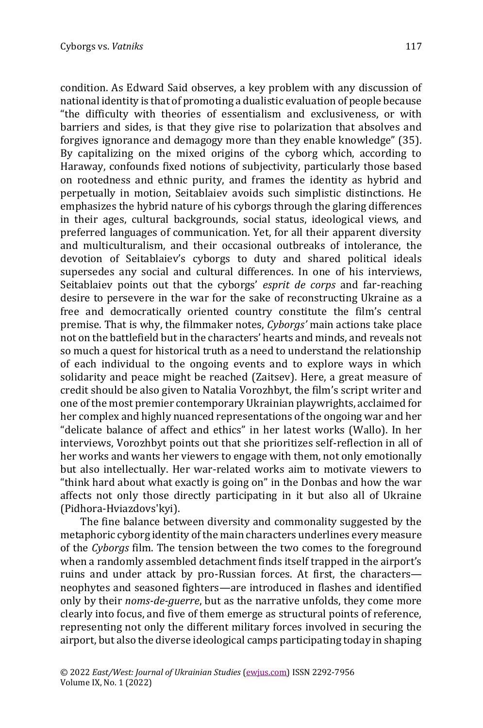condition. As Edward Said observes, a key problem with any discussion of national identity is that of promoting a dualistic evaluation of people because "the difficulty with theories of essentialism and exclusiveness, or with barriers and sides, is that they give rise to polarization that absolves and forgives ignorance and demagogy more than they enable knowledge" (35). By capitalizing on the mixed origins of the cyborg which, according to Haraway, confounds fixed notions of subjectivity, particularly those based on rootedness and ethnic purity, and frames the identity as hybrid and perpetually in motion, Seitablaiev avoids such simplistic distinctions. He emphasizes the hybrid nature of his cyborgs through the glaring differences in their ages, cultural backgrounds, social status, ideological views, and preferred languages of communication. Yet, for all their apparent diversity and multiculturalism, and their occasional outbreaks of intolerance, the devotion of Seitablaiev's cyborgs to duty and shared political ideals supersedes any social and cultural differences. In one of his interviews,

Seitablaiev points out that the cyborgs' *esprit de corps* and far-reaching desire to persevere in the war for the sake of reconstructing Ukraine as a free and democratically oriented country constitute the film's central premise. That is why, the filmmaker notes, *Cyborgs'* main actions take place not on the battlefield but in the characters' hearts and minds, and reveals not so much a quest for historical truth as a need to understand the relationship of each individual to the ongoing events and to explore ways in which solidarity and peace might be reached (Zaitsev). Here, a great measure of credit should be also given to Natalia Vorozhbyt, the film's script writer and one of the most premier contemporary Ukrainian playwrights, acclaimed for her complex and highly nuanced representations of the ongoing war and her "delicate balance of affect and ethics" in her latest works (Wallo). In her interviews, Vorozhbyt points out that she prioritizes self-reflection in all of her works and wants her viewers to engage with them, not only emotionally but also intellectually. Her war-related works aim to motivate viewers to "think hard about what exactly is going on" in the Donbas and how the war affects not only those directly participating in it but also all of Ukraine (Pidhora-Hviazdovs'kyi).

The fine balance between diversity and commonality suggested by the metaphoric cyborg identity of the main characters underlines every measure of the *Cyborgs* film. The tension between the two comes to the foreground when a randomly assembled detachment finds itself trapped in the airport's ruins and under attack by pro-Russian forces. At first, the characters neophytes and seasoned fighters—are introduced in flashes and identified only by their *noms-de-guerre*, but as the narrative unfolds, they come more clearly into focus, and five of them emerge as structural points of reference, representing not only the different military forces involved in securing the airport, but also the diverse ideological camps participating today in shaping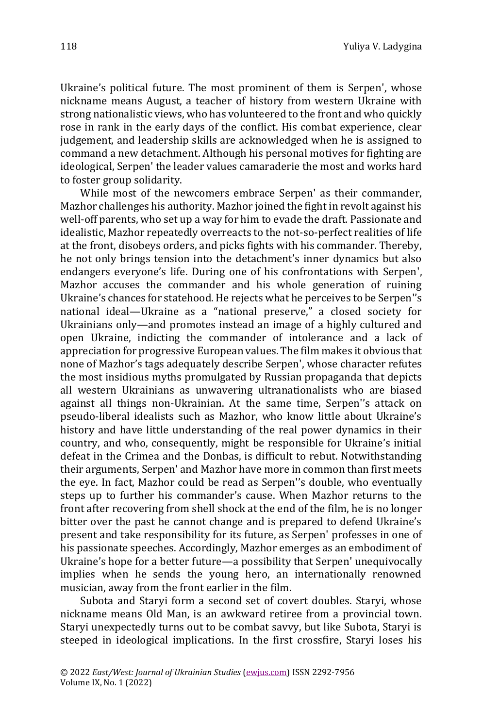Ukraine's political future. The most prominent of them is Serpen', whose nickname means August, a teacher of history from western Ukraine with strong nationalistic views, who has volunteered to the front and who quickly rose in rank in the early days of the conflict. His combat experience, clear judgement, and leadership skills are acknowledged when he is assigned to command a new detachment. Although his personal motives for fighting are ideological, Serpen' the leader values camaraderie the most and works hard to foster group solidarity.

While most of the newcomers embrace Serpen' as their commander, Mazhor challenges his authority. Mazhor joined the fight in revolt against his well-off parents, who set up a way for him to evade the draft. Passionate and idealistic, Mazhor repeatedly overreacts to the not-so-perfect realities of life at the front, disobeys orders, and picks fights with his commander. Thereby, he not only brings tension into the detachment's inner dynamics but also endangers everyone's life. During one of his confrontations with Serpen', Mazhor accuses the commander and his whole generation of ruining Ukraine's chances for statehood. He rejects what he perceives to be Serpen''s national ideal—Ukraine as a "national preserve," a closed society for Ukrainians only—and promotes instead an image of a highly cultured and open Ukraine, indicting the commander of intolerance and a lack of appreciation for progressive European values. The film makes it obvious that none of Mazhor's tags adequately describe Serpen', whose character refutes the most insidious myths promulgated by Russian propaganda that depicts all western Ukrainians as unwavering ultranationalists who are biased against all things non-Ukrainian. At the same time, Serpen''s attack on pseudo-liberal idealists such as Mazhor, who know little about Ukraine's history and have little understanding of the real power dynamics in their country, and who, consequently, might be responsible for Ukraine's initial defeat in the Crimea and the Donbas, is difficult to rebut. Notwithstanding their arguments, Serpen' and Mazhor have more in common than first meets the eye. In fact, Mazhor could be read as Serpen''s double, who eventually steps up to further his commander's cause. When Mazhor returns to the front after recovering from shell shock at the end of the film, he is no longer bitter over the past he cannot change and is prepared to defend Ukraine's present and take responsibility for its future, as Serpen' professes in one of his passionate speeches. Accordingly, Mazhor emerges as an embodiment of Ukraine's hope for a better future—a possibility that Serpen' unequivocally implies when he sends the young hero, an internationally renowned musician, away from the front earlier in the film.

Subota and Staryi form a second set of covert doubles. Staryi, whose nickname means Old Man, is an awkward retiree from a provincial town. Staryi unexpectedly turns out to be combat savvy, but like Subota, Staryi is steeped in ideological implications. In the first crossfire, Staryi loses his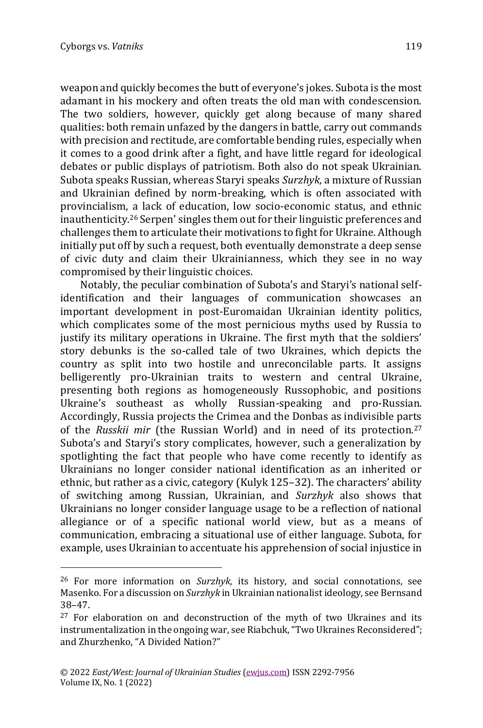weapon and quickly becomes the butt of everyone's jokes. Subota is the most adamant in his mockery and often treats the old man with condescension. The two soldiers, however, quickly get along because of many shared qualities: both remain unfazed by the dangers in battle, carry out commands with precision and rectitude, are comfortable bending rules, especially when it comes to a good drink after a fight, and have little regard for ideological debates or public displays of patriotism. Both also do not speak Ukrainian. Subota speaks Russian, whereas Staryi speaks *Surzhyk*, a mixture of Russian and Ukrainian defined by norm-breaking, which is often associated with provincialism, a lack of education, low socio-economic status, and ethnic inauthenticity.<sup>26</sup> Serpen' singles them out for their linguistic preferences and challenges them to articulate their motivations to fight for Ukraine. Although initially put off by such a request, both eventually demonstrate a deep sense of civic duty and claim their Ukrainianness, which they see in no way compromised by their linguistic choices.

Notably, the peculiar combination of Subota's and Staryi's national selfidentification and their languages of communication showcases an important development in post-Euromaidan Ukrainian identity politics, which complicates some of the most pernicious myths used by Russia to justify its military operations in Ukraine. The first myth that the soldiers' story debunks is the so-called tale of two Ukraines, which depicts the country as split into two hostile and unreconcilable parts. It assigns belligerently pro-Ukrainian traits to western and central Ukraine, presenting both regions as homogeneously Russophobic, and positions Ukraine's southeast as wholly Russian-speaking and pro-Russian. Accordingly, Russia projects the Crimea and the Donbas as indivisible parts of the *Russkii mir* (the Russian World) and in need of its protection.<sup>27</sup> Subota's and Staryi's story complicates, however, such a generalization by spotlighting the fact that people who have come recently to identify as Ukrainians no longer consider national identification as an inherited or ethnic, but rather as a civic, category (Kulyk 125–32). The characters' ability of switching among Russian, Ukrainian, and *Surzhyk* also shows that Ukrainians no longer consider language usage to be a reflection of national allegiance or of a specific national world view, but as a means of communication, embracing a situational use of either language. Subota, for example, uses Ukrainian to accentuate his apprehension of social injustice in

<sup>26</sup> For more information on *Surzhyk*, its history, and social connotations, see Masenko. For a discussion on *Surzhyk* in Ukrainian nationalist ideology, see Bernsand 38–47.

<sup>&</sup>lt;sup>27</sup> For elaboration on and deconstruction of the myth of two Ukraines and its instrumentalization in the ongoing war, see Riabchuk, "Two Ukraines Reconsidered"; and Zhurzhenko, "A Divided Nation?"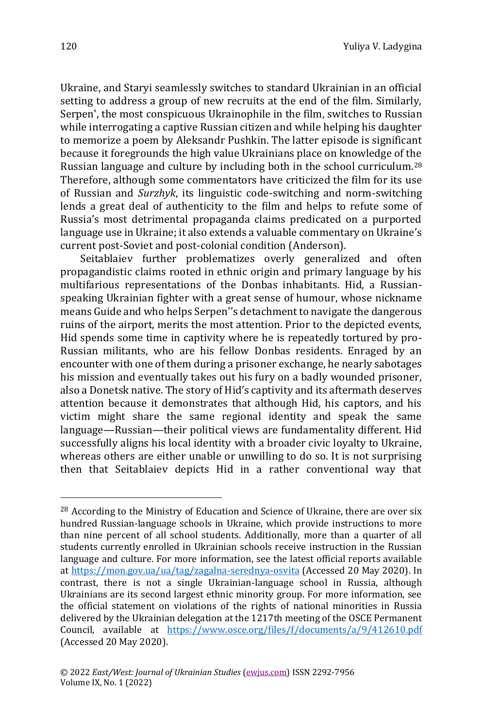Ukraine, and Staryi seamlessly switches to standard Ukrainian in an official setting to address a group of new recruits at the end of the film. Similarly, Serpen', the most conspicuous Ukrainophile in the film, switches to Russian while interrogating a captive Russian citizen and while helping his daughter to memorize a poem by Aleksandr Pushkin. The latter episode is significant because it foregrounds the high value Ukrainians place on knowledge of the Russian language and culture by including both in the school curriculum.<sup>28</sup> Therefore, although some commentators have criticized the film for its use of Russian and *Surzhyk*, its linguistic code-switching and norm-switching lends a great deal of authenticity to the film and helps to refute some of Russia's most detrimental propaganda claims predicated on a purported language use in Ukraine; it also extends a valuable commentary on Ukraine's current post-Soviet and post-colonial condition (Anderson).

Seitablaiev further problematizes overly generalized and often propagandistic claims rooted in ethnic origin and primary language by his multifarious representations of the Donbas inhabitants. Hid, a Russianspeaking Ukrainian fighter with a great sense of humour, whose nickname means Guide and who helps Serpen''s detachment to navigate the dangerous ruins of the airport, merits the most attention. Prior to the depicted events, Hid spends some time in captivity where he is repeatedly tortured by pro-Russian militants, who are his fellow Donbas residents. Enraged by an encounter with one of them during a prisoner exchange, he nearly sabotages his mission and eventually takes out his fury on a badly wounded prisoner, also a Donetsk native. The story of Hid's captivity and its aftermath deserves attention because it demonstrates that although Hid, his captors, and his victim might share the same regional identity and speak the same language—Russian—their political views are fundamentality different. Hid successfully aligns his local identity with a broader civic loyalty to Ukraine, whereas others are either unable or unwilling to do so. It is not surprising then that Seitablaiev depicts Hid in a rather conventional way that

<sup>&</sup>lt;sup>28</sup> According to the Ministry of Education and Science of Ukraine, there are over six hundred Russian-language schools in Ukraine, which provide instructions to more than nine percent of all school students. Additionally, more than a quarter of all students currently enrolled in Ukrainian schools receive instruction in the Russian language and culture. For more information, see the latest official reports available a[t https://mon.gov.ua/ua/tag/zagalna-serednya-osvita](https://mon.gov.ua/ua/tag/zagalna-serednya-osvita) (Accessed 20 May 2020). In contrast, there is not a single Ukrainian-language school in Russia, although Ukrainians are its second largest ethnic minority group. For more information, see the official statement on violations of the rights of national minorities in Russia delivered by the Ukrainian delegation at the 1217th meeting of the OSCE Permanent Council, available at <https://www.osce.org/files/f/documents/a/9/412610.pdf> (Accessed 20 May 2020).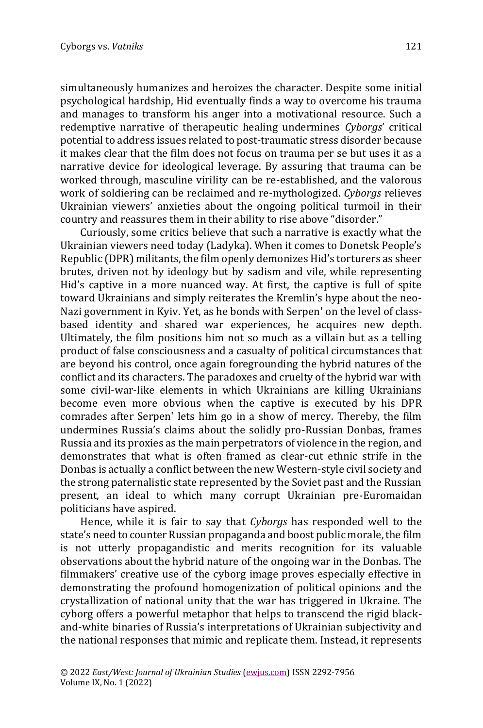simultaneously humanizes and heroizes the character. Despite some initial psychological hardship, Hid eventually finds a way to overcome his trauma and manages to transform his anger into a motivational resource. Such a redemptive narrative of therapeutic healing undermines *Cyborgs*' critical potential to address issues related to post-traumatic stress disorder because it makes clear that the film does not focus on trauma per se but uses it as a narrative device for ideological leverage. By assuring that trauma can be worked through, masculine virility can be re-established, and the valorous work of soldiering can be reclaimed and re-mythologized. *Cyborgs* relieves Ukrainian viewers' anxieties about the ongoing political turmoil in their country and reassures them in their ability to rise above "disorder."

Curiously, some critics believe that such a narrative is exactly what the Ukrainian viewers need today (Ladyka). When it comes to Donetsk People's Republic (DPR) militants, the film openly demonizes Hid's torturers as sheer brutes, driven not by ideology but by sadism and vile, while representing Hid's captive in a more nuanced way. At first, the captive is full of spite toward Ukrainians and simply reiterates the Kremlin's hype about the neo-Nazi government in Kyiv. Yet, as he bonds with Serpen' on the level of classbased identity and shared war experiences, he acquires new depth. Ultimately, the film positions him not so much as a villain but as a telling product of false consciousness and a casualty of political circumstances that are beyond his control, once again foregrounding the hybrid natures of the conflict and its characters. The paradoxes and cruelty of the hybrid war with some civil-war-like elements in which Ukrainians are killing Ukrainians become even more obvious when the captive is executed by his DPR comrades after Serpen' lets him go in a show of mercy. Thereby, the film undermines Russia's claims about the solidly pro-Russian Donbas, frames Russia and its proxies as the main perpetrators of violence in the region, and demonstrates that what is often framed as clear-cut ethnic strife in the Donbas is actually a conflict between the new Western-style civil society and the strong paternalistic state represented by the Soviet past and the Russian present, an ideal to which many corrupt Ukrainian pre-Euromaidan politicians have aspired.

Hence, while it is fair to say that *Cyborgs* has responded well to the state's need to counter Russian propaganda and boost public morale, the film is not utterly propagandistic and merits recognition for its valuable observations about the hybrid nature of the ongoing war in the Donbas. The filmmakers' creative use of the cyborg image proves especially effective in demonstrating the profound homogenization of political opinions and the crystallization of national unity that the war has triggered in Ukraine. The cyborg offers a powerful metaphor that helps to transcend the rigid blackand-white binaries of Russia's interpretations of Ukrainian subjectivity and the national responses that mimic and replicate them. Instead, it represents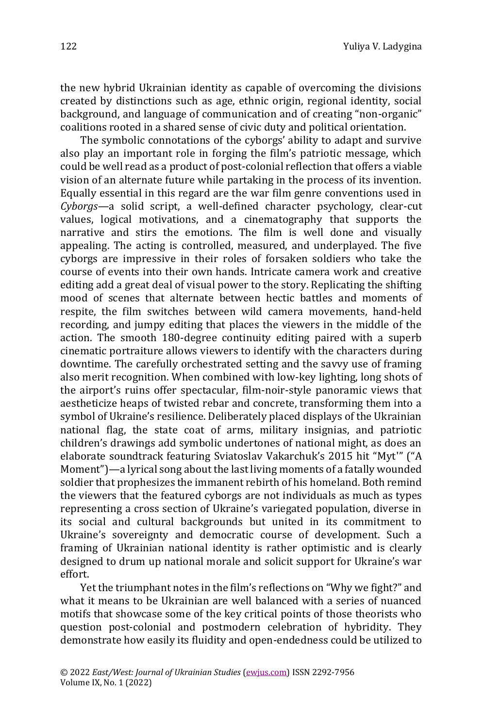the new hybrid Ukrainian identity as capable of overcoming the divisions created by distinctions such as age, ethnic origin, regional identity, social background, and language of communication and of creating "non-organic" coalitions rooted in a shared sense of civic duty and political orientation.

The symbolic connotations of the cyborgs' ability to adapt and survive also play an important role in forging the film's patriotic message, which could be well read as a product of post-colonial reflection that offers a viable vision of an alternate future while partaking in the process of its invention. Equally essential in this regard are the war film genre conventions used in *Cyborgs—*a solid script, a well-defined character psychology, clear-cut values, logical motivations, and a cinematography that supports the narrative and stirs the emotions. The film is well done and visually appealing. The acting is controlled, measured, and underplayed. The five cyborgs are impressive in their roles of forsaken soldiers who take the course of events into their own hands. Intricate camera work and creative editing add a great deal of visual power to the story. Replicating the shifting mood of scenes that alternate between hectic battles and moments of respite, the film switches between wild camera movements, hand-held recording, and jumpy editing that places the viewers in the middle of the action. The smooth 180-degree continuity editing paired with a superb cinematic portraiture allows viewers to identify with the characters during downtime. The carefully orchestrated setting and the savvy use of framing also merit recognition. When combined with low-key lighting, long shots of the airport's ruins offer spectacular, film-noir-style panoramic views that aestheticize heaps of twisted rebar and concrete, transforming them into a symbol of Ukraine's resilience. Deliberately placed displays of the Ukrainian national flag, the state coat of arms, military insignias, and patriotic children's drawings add symbolic undertones of national might, as does an elaborate soundtrack featuring Sviatoslav Vakarchuk's 2015 hit "Myt'" ("A Moment")—a lyrical song about the last living moments of a fatally wounded soldier that prophesizes the immanent rebirth of his homeland. Both remind the viewers that the featured cyborgs are not individuals as much as types representing a cross section of Ukraine's variegated population, diverse in its social and cultural backgrounds but united in its commitment to Ukraine's sovereignty and democratic course of development. Such a framing of Ukrainian national identity is rather optimistic and is clearly designed to drum up national morale and solicit support for Ukraine's war effort.

Yet the triumphant notes in the film's reflections on "Why we fight?" and what it means to be Ukrainian are well balanced with a series of nuanced motifs that showcase some of the key critical points of those theorists who question post-colonial and postmodern celebration of hybridity. They demonstrate how easily its fluidity and open-endedness could be utilized to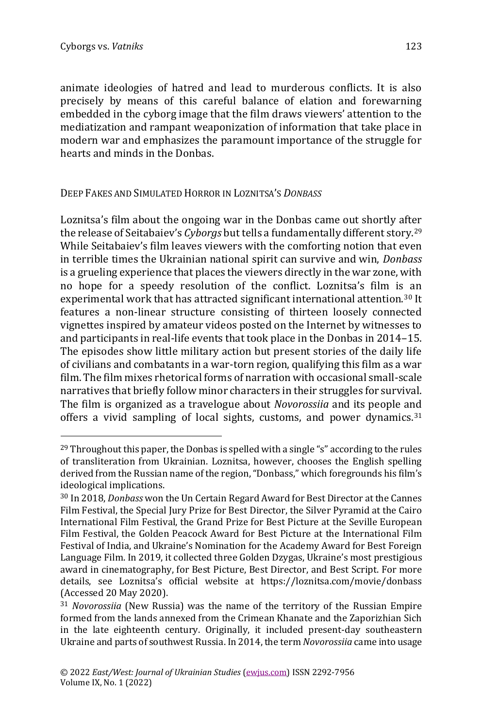animate ideologies of hatred and lead to murderous conflicts. It is also precisely by means of this careful balance of elation and forewarning embedded in the cyborg image that the film draws viewers' attention to the mediatization and rampant weaponization of information that take place in modern war and emphasizes the paramount importance of the struggle for hearts and minds in the Donbas.

DEEP FAKES AND SIMULATED HORROR IN LOZNITSA'S *DONBASS*

Loznitsa's film about the ongoing war in the Donbas came out shortly after the release of Seitabaiev's *Cyborgs* but tells a fundamentally different story.<sup>29</sup> While Seitabaiev's film leaves viewers with the comforting notion that even in terrible times the Ukrainian national spirit can survive and win, *Donbass*  is a grueling experience that places the viewers directly in the war zone, with no hope for a speedy resolution of the conflict. Loznitsa's film is an experimental work that has attracted significant international attention.<sup>30</sup> It features a non-linear structure consisting of thirteen loosely connected vignettes inspired by amateur videos posted on the Internet by witnesses to and participants in real-life events that took place in the Donbas in 2014–15. The episodes show little military action but present stories of the daily life of civilians and combatants in a war-torn region, qualifying this film as a war film. The film mixes rhetorical forms of narration with occasional small-scale narratives that briefly follow minor characters in their struggles for survival. The film is organized as a travelogue about *Novorossiia* and its people and offers a vivid sampling of local sights, customs, and power dynamics.<sup>31</sup>

 $^{29}$  Throughout this paper, the Donbas is spelled with a single "s" according to the rules of transliteration from Ukrainian. Loznitsa, however, chooses the English spelling derived from the Russian name of the region, "Donbass," which foregrounds his film's ideological implications.

<sup>30</sup> In 2018, *Donbass* won the Un Certain Regard Award for Best Director at the Cannes Film Festival, the Special Jury Prize for Best Director, the Silver Pyramid at the Cairo International Film Festival, the Grand Prize for Best Picture at the Seville European Film Festival, the Golden Peacock Award for Best Picture at the International Film Festival of India, and Ukraine's Nomination for the Academy Award for Best Foreign Language Film. In 2019, it collected three Golden Dzygas, Ukraine's most prestigious award in cinematography, for Best Picture, Best Director, and Best Script. For more details, see Loznitsa's official website at <https://loznitsa.com/movie/donbass> (Accessed 20 May 2020).

<sup>31</sup> *Novorossiia* (New Russia) was the name of the territory of the Russian Empire formed from the lands annexed from the Crimean Khanate and the Zaporizhian Sich in the late eighteenth century. Originally, it included present-day southeastern Ukraine and parts of southwest Russia. In 2014, the term *Novorossiia* came into usage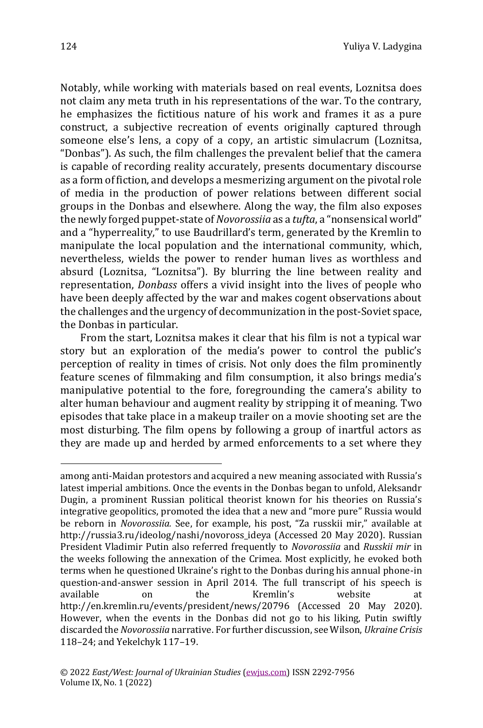Notably, while working with materials based on real events, Loznitsa does not claim any meta truth in his representations of the war. To the contrary, he emphasizes the fictitious nature of his work and frames it as a pure construct, a subjective recreation of events originally captured through someone else's lens, a copy of a copy, an artistic simulacrum (Loznitsa, "Donbas"). As such, the film challenges the prevalent belief that the camera is capable of recording reality accurately, presents documentary discourse as a form of fiction, and develops a mesmerizing argument on the pivotal role of media in the production of power relations between different social groups in the Donbas and elsewhere. Along the way, the film also exposes the newly forged puppet-state of *Novorossiia* as a *tufta*, a "nonsensical world" and a "hyperreality," to use Baudrillard's term, generated by the Kremlin to manipulate the local population and the international community, which, nevertheless, wields the power to render human lives as worthless and absurd (Loznitsa, "Loznitsa"). By blurring the line between reality and representation, *Donbass* offers a vivid insight into the lives of people who have been deeply affected by the war and makes cogent observations about the challenges and the urgency of decommunization in the post-Soviet space, the Donbas in particular.

From the start, Loznitsa makes it clear that his film is not a typical war story but an exploration of the media's power to control the public's perception of reality in times of crisis. Not only does the film prominently feature scenes of filmmaking and film consumption, it also brings media's manipulative potential to the fore, foregrounding the camera's ability to alter human behaviour and augment reality by stripping it of meaning. Two episodes that take place in a makeup trailer on a movie shooting set are the most disturbing. The film opens by following a group of inartful actors as they are made up and herded by armed enforcements to a set where they

among anti-Maidan protestors and acquired a new meaning associated with Russia's latest imperial ambitions. Once the events in the Donbas began to unfold, Aleksandr Dugin, a prominent Russian political theorist known for his theories on Russia's integrative geopolitics, promoted the idea that a new and "more pure" Russia would be reborn in *Novorossiia.* See, for example, his post, "Za russkii mir," available at [http://russia3.ru/ideolog/nashi/novoross\\_ideya](http://russia3.ru/ideolog/nashi/novoross_ideya) (Accessed 20 May 2020). Russian President Vladimir Putin also referred frequently to *Novorossiia* and *Russkii mir* in the weeks following the annexation of the Crimea. Most explicitly, he evoked both terms when he questioned Ukraine's right to the Donbas during his annual phone-in question-and-answer session in April 2014. The full transcript of his speech is available on the Kremlin's website <http://en.kremlin.ru/events/president/news/20796> (Accessed 20 May 2020). However, when the events in the Donbas did not go to his liking, Putin swiftly discarded the *Novorossiia* narrative. For further discussion, see Wilson, *Ukraine Crisis* 118–24; and Yekelchyk 117–19.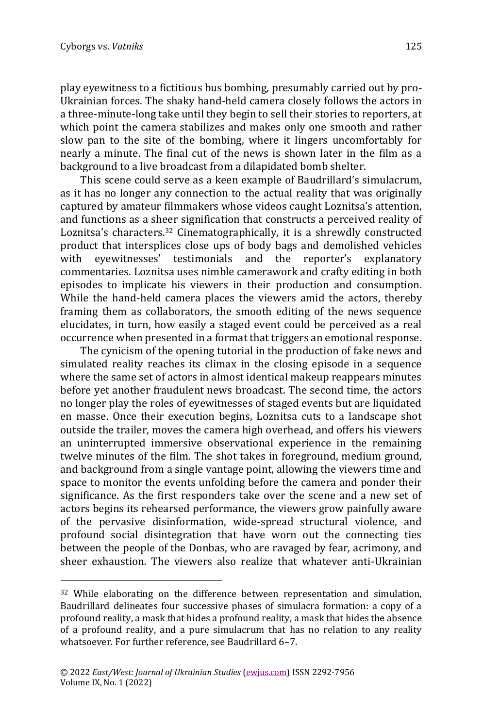play eyewitness to a fictitious bus bombing, presumably carried out by pro-Ukrainian forces. The shaky hand-held camera closely follows the actors in a three-minute-long take until they begin to sell their stories to reporters, at which point the camera stabilizes and makes only one smooth and rather slow pan to the site of the bombing, where it lingers uncomfortably for nearly a minute. The final cut of the news is shown later in the film as a background to a live broadcast from a dilapidated bomb shelter.

This scene could serve as a keen example of Baudrillard's simulacrum, as it has no longer any connection to the actual reality that was originally captured by amateur filmmakers whose videos caught Loznitsa's attention, and functions as a sheer signification that constructs a perceived reality of Loznitsa's characters. <sup>32</sup> Cinematographically, it is a shrewdly constructed product that intersplices close ups of body bags and demolished vehicles with eyewitnesses' testimonials and the reporter's explanatory commentaries. Loznitsa uses nimble camerawork and crafty editing in both episodes to implicate his viewers in their production and consumption. While the hand-held camera places the viewers amid the actors, thereby framing them as collaborators, the smooth editing of the news sequence elucidates, in turn, how easily a staged event could be perceived as a real occurrence when presented in a format that triggers an emotional response.

The cynicism of the opening tutorial in the production of fake news and simulated reality reaches its climax in the closing episode in a sequence where the same set of actors in almost identical makeup reappears minutes before yet another fraudulent news broadcast. The second time, the actors no longer play the roles of eyewitnesses of staged events but are liquidated en masse. Once their execution begins, Loznitsa cuts to a landscape shot outside the trailer, moves the camera high overhead, and offers his viewers an uninterrupted immersive observational experience in the remaining twelve minutes of the film. The shot takes in foreground, medium ground, and background from a single vantage point, allowing the viewers time and space to monitor the events unfolding before the camera and ponder their significance. As the first responders take over the scene and a new set of actors begins its rehearsed performance, the viewers grow painfully aware of the pervasive disinformation, wide-spread structural violence, and profound social disintegration that have worn out the connecting ties between the people of the Donbas, who are ravaged by fear, acrimony, and sheer exhaustion. The viewers also realize that whatever anti-Ukrainian

<sup>&</sup>lt;sup>32</sup> While elaborating on the difference between representation and simulation, Baudrillard delineates four successive phases of simulacra formation: a copy of a profound reality, a mask that hides a profound reality, a mask that hides the absence of a profound reality, and a pure simulacrum that has no relation to any reality whatsoever. For further reference, see Baudrillard 6–7.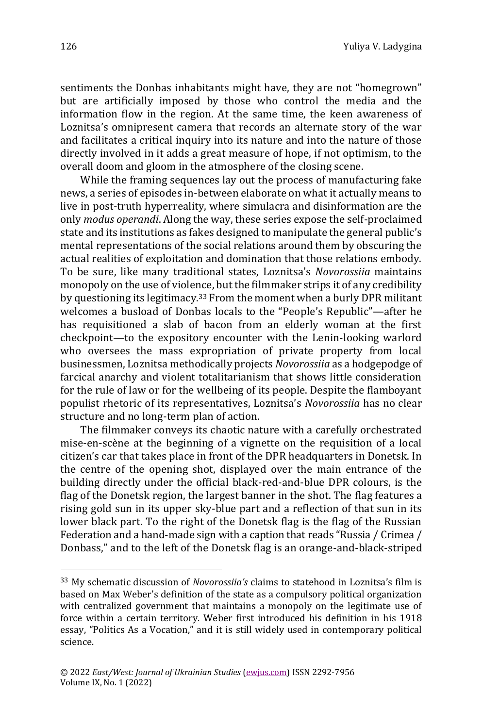sentiments the Donbas inhabitants might have, they are not "homegrown" but are artificially imposed by those who control the media and the information flow in the region. At the same time, the keen awareness of Loznitsa's omnipresent camera that records an alternate story of the war and facilitates a critical inquiry into its nature and into the nature of those directly involved in it adds a great measure of hope, if not optimism, to the overall doom and gloom in the atmosphere of the closing scene.

While the framing sequences lay out the process of manufacturing fake news, a series of episodes in-between elaborate on what it actually means to live in post-truth hyperreality, where simulacra and disinformation are the only *modus operandi*. Along the way, these series expose the self-proclaimed state and its institutions as fakes designed to manipulate the general public's mental representations of the social relations around them by obscuring the actual realities of exploitation and domination that those relations embody. To be sure, like many traditional states, Loznitsa's *Novorossiia* maintains monopoly on the use of violence, but the filmmaker strips it of any credibility by questioning its legitimacy.<sup>33</sup> From the moment when a burly DPR militant welcomes a busload of Donbas locals to the "People's Republic"—after he has requisitioned a slab of bacon from an elderly woman at the first checkpoint—to the expository encounter with the Lenin-looking warlord who oversees the mass expropriation of private property from local businessmen, Loznitsa methodically projects *Novorossiia* as a hodgepodge of farcical anarchy and violent totalitarianism that shows little consideration for the rule of law or for the wellbeing of its people. Despite the flamboyant populist rhetoric of its representatives, Loznitsa's *Novorossiia* has no clear structure and no long-term plan of action.

The filmmaker conveys its chaotic nature with a carefully orchestrated mise-en-scène at the beginning of a vignette on the requisition of a local citizen's car that takes place in front of the DPR headquarters in Donetsk. In the centre of the opening shot, displayed over the main entrance of the building directly under the official black-red-and-blue DPR colours, is the flag of the Donetsk region, the largest banner in the shot. The flag features a rising gold sun in its upper sky-blue part and a reflection of that sun in its lower black part. To the right of the Donetsk flag is the flag of the Russian Federation and a hand-made sign with a caption that reads "Russia / Crimea / Donbass," and to the left of the Donetsk flag is an orange-and-black-striped

<sup>33</sup> My schematic discussion of *Novorossiia's* claims to statehood in Loznitsa's film is based on Max Weber's definition of the state as a compulsory political organization with centralized government that maintains a monopoly on the legitimate use of force within a certain territory. Weber first introduced his definition in his 1918 essay, "Politics As a Vocation," and it is still widely used in contemporary political science.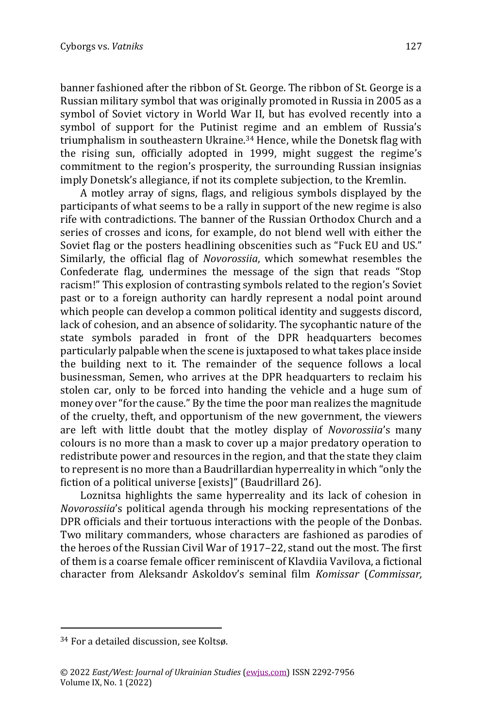banner fashioned after the ribbon of St. George. The ribbon of St. George is a Russian military symbol that was originally promoted in Russia in 2005 as a symbol of Soviet victory in World War II, but has evolved recently into a symbol of support for the Putinist regime and an emblem of Russia's triumphalism in southeastern Ukraine.<sup>34</sup> Hence, while the Donetsk flag with the rising sun, officially adopted in 1999, might suggest the regime's commitment to the region's prosperity, the surrounding Russian insignias imply Donetsk's allegiance, if not its complete subjection, to the Kremlin.

A motley array of signs, flags, and religious symbols displayed by the participants of what seems to be a rally in support of the new regime is also rife with contradictions. The banner of the Russian Orthodox Church and a series of crosses and icons, for example, do not blend well with either the Soviet flag or the posters headlining obscenities such as "Fuck EU and US." Similarly, the official flag of *Novorossiia*, which somewhat resembles the Confederate flag, undermines the message of the sign that reads "Stop racism!" This explosion of contrasting symbols related to the region's Soviet past or to a foreign authority can hardly represent a nodal point around which people can develop a common political identity and suggests discord, lack of cohesion, and an absence of solidarity. The sycophantic nature of the state symbols paraded in front of the DPR headquarters becomes particularly palpable when the scene is juxtaposed to what takes place inside the building next to it. The remainder of the sequence follows a local businessman, Semen, who arrives at the DPR headquarters to reclaim his stolen car, only to be forced into handing the vehicle and a huge sum of money over "for the cause." By the time the poor man realizes the magnitude of the cruelty, theft, and opportunism of the new government, the viewers are left with little doubt that the motley display of *Novorossiia*'s many colours is no more than a mask to cover up a major predatory operation to redistribute power and resources in the region, and that the state they claim to represent is no more than a Baudrillardian hyperreality in which "only the fiction of a political universe [exists]" (Baudrillard 26).

Loznitsa highlights the same hyperreality and its lack of cohesion in *Novorossiia*'s political agenda through his mocking representations of the DPR officials and their tortuous interactions with the people of the Donbas. Two military commanders, whose characters are fashioned as parodies of the heroes of the Russian Civil War of 1917–22, stand out the most. The first of them is a coarse female officer reminiscent of Klavdiia Vavilova, a fictional character from Aleksandr Askoldov's seminal film *Komissar* (*Commissar,*

<sup>34</sup> For a detailed discussion, see Koltsø.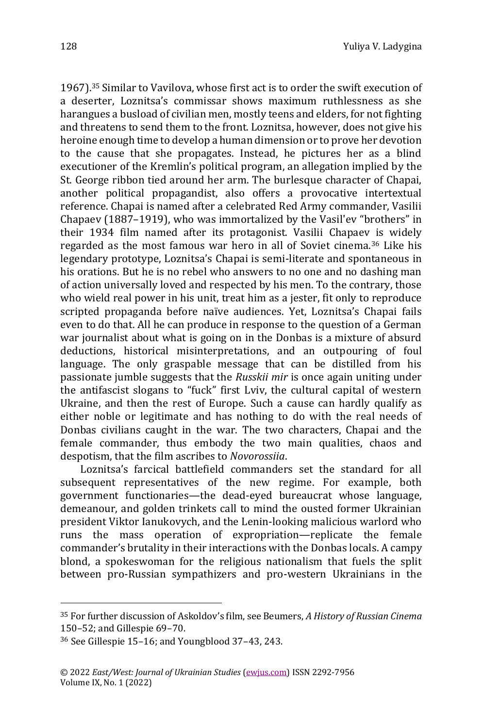1967).<sup>35</sup> Similar to Vavilova, whose first act is to order the swift execution of a deserter, Loznitsa's commissar shows maximum ruthlessness as she harangues a busload of civilian men, mostly teens and elders, for not fighting and threatens to send them to the front. Loznitsa, however, does not give his heroine enough time to develop a human dimension or to prove her devotion to the cause that she propagates. Instead, he pictures her as a blind executioner of the Kremlin's political program, an allegation implied by the St. George ribbon tied around her arm. The burlesque character of Chapai, another political propagandist, also offers a provocative intertextual reference. Chapai is named after a celebrated Red Army commander, Vasilii Chapaev (1887–1919), who was immortalized by the Vasil'ev "brothers" in their 1934 film named after its protagonist. Vasilii Chapaev is widely regarded as the most famous war hero in all of Soviet cinema.<sup>36</sup> Like his legendary prototype, Loznitsa's Chapai is semi-literate and spontaneous in his orations. But he is no rebel who answers to no one and no dashing man of action universally loved and respected by his men. To the contrary, those who wield real power in his unit, treat him as a jester, fit only to reproduce scripted propaganda before naïve audiences. Yet, Loznitsa's Chapai fails even to do that. All he can produce in response to the question of a German war journalist about what is going on in the Donbas is a mixture of absurd deductions, historical misinterpretations, and an outpouring of foul language. The only graspable message that can be distilled from his passionate jumble suggests that the *Russkii mir* is once again uniting under the antifascist slogans to "fuck" first Lviv, the cultural capital of western Ukraine, and then the rest of Europe. Such a cause can hardly qualify as either noble or legitimate and has nothing to do with the real needs of Donbas civilians caught in the war. The two characters, Chapai and the female commander, thus embody the two main qualities, chaos and despotism, that the film ascribes to *Novorossiia*.

Loznitsa's farcical battlefield commanders set the standard for all subsequent representatives of the new regime. For example, both government functionaries—the dead-eyed bureaucrat whose language, demeanour, and golden trinkets call to mind the ousted former Ukrainian president Viktor Ianukovych, and the Lenin-looking malicious warlord who runs the mass operation of expropriation—replicate the female commander's brutality in their interactions with the Donbas locals. A campy blond, a spokeswoman for the religious nationalism that fuels the split between pro-Russian sympathizers and pro-western Ukrainians in the

<sup>35</sup> For further discussion of Askoldov's film, see Beumers, *A History of Russian Cinema* 150–52; and Gillespie 69–70.

<sup>36</sup> See Gillespie 15–16; and Youngblood 37–43, 243.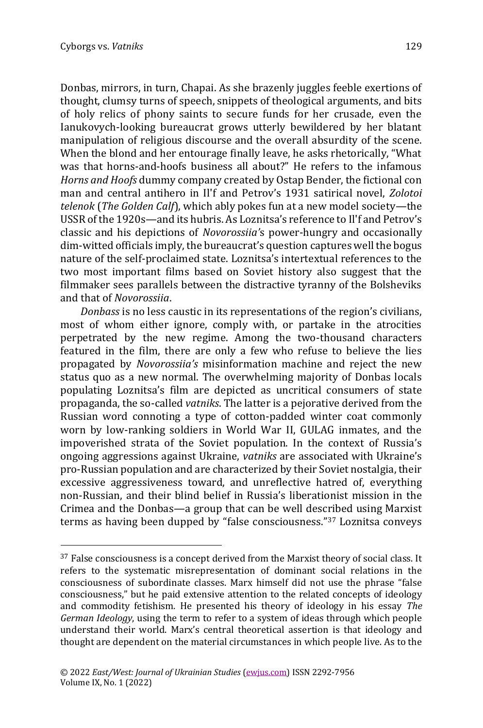Donbas, mirrors, in turn, Chapai. As she brazenly juggles feeble exertions of thought, clumsy turns of speech, snippets of theological arguments, and bits of holy relics of phony saints to secure funds for her crusade, even the Ianukovych-looking bureaucrat grows utterly bewildered by her blatant manipulation of religious discourse and the overall absurdity of the scene. When the blond and her entourage finally leave, he asks rhetorically, "What was that horns-and-hoofs business all about?" He refers to the infamous *Horns and Hoofs* dummy company created by Ostap Bender, the fictional con man and central antihero in Il'f and Petrov's 1931 satirical novel, *Zolotoi telenok* (*The Golden Calf*), which ably pokes fun at a new model society—the USSR of the 1920s—and its hubris. As Loznitsa's reference to Il'f and Petrov's classic and his depictions of *Novorossiia'*s power-hungry and occasionally dim-witted officials imply, the bureaucrat's question captures well the bogus nature of the self-proclaimed state. Loznitsa's intertextual references to the two most important films based on Soviet history also suggest that the filmmaker sees parallels between the distractive tyranny of the Bolsheviks and that of *Novorossiia*.

*Donbass* is no less caustic in its representations of the region's civilians, most of whom either ignore, comply with, or partake in the atrocities perpetrated by the new regime. Among the two-thousand characters featured in the film, there are only a few who refuse to believe the lies propagated by *Novorossiia's* misinformation machine and reject the new status quo as a new normal. The overwhelming majority of Donbas locals populating Loznitsa's film are depicted as uncritical consumers of state propaganda, the so-called *vatniks*. The latter is a pejorative derived from the Russian word connoting a type of cotton-padded winter coat commonly worn by low-ranking soldiers in World War II, GULAG inmates, and the impoverished strata of the Soviet population. In the context of Russia's ongoing aggressions against Ukraine, *vatniks* are associated with Ukraine's pro-Russian population and are characterized by their Soviet nostalgia, their excessive aggressiveness toward, and unreflective hatred of, everything non-Russian, and their blind belief in Russia's liberationist mission in the Crimea and the Donbas—a group that can be well described using Marxist terms as having been dupped by "false consciousness."<sup>37</sup> Loznitsa conveys

 $37$  False consciousness is a concept derived from the Marxist theory of social class. It refers to the systematic misrepresentation of dominant social relations in the consciousness of subordinate classes. Marx himself did not use the phrase "false consciousness," but he paid extensive attention to the related concepts of ideology and commodity fetishism. He presented his theory of ideology in his essay *The German Ideology*, using the term to refer to a system of ideas through which people understand their world. Marx's central theoretical assertion is that ideology and thought are dependent on the material circumstances in which people live. As to the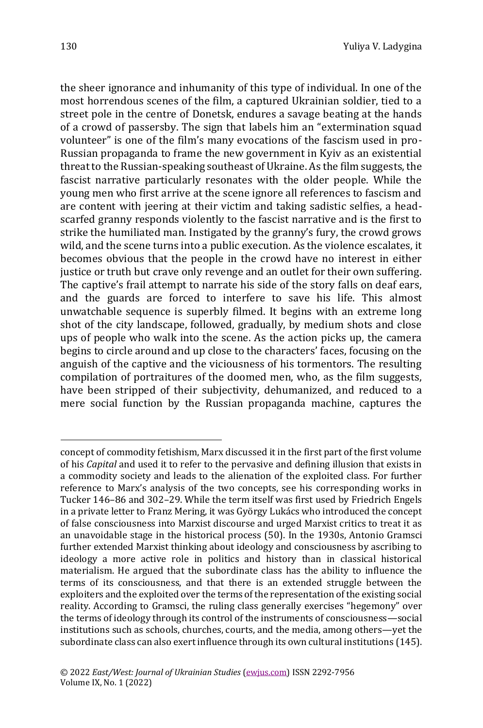the sheer ignorance and inhumanity of this type of individual. In one of the most horrendous scenes of the film, a captured Ukrainian soldier, tied to a street pole in the centre of Donetsk, endures a savage beating at the hands of a crowd of passersby. The sign that labels him an "extermination squad volunteer" is one of the film's many evocations of the fascism used in pro-Russian propaganda to frame the new government in Kyiv as an existential threat to the Russian-speaking southeast of Ukraine. As the film suggests, the fascist narrative particularly resonates with the older people. While the young men who first arrive at the scene ignore all references to fascism and are content with jeering at their victim and taking sadistic selfies, a headscarfed granny responds violently to the fascist narrative and is the first to strike the humiliated man. Instigated by the granny's fury, the crowd grows wild, and the scene turns into a public execution. As the violence escalates, it becomes obvious that the people in the crowd have no interest in either justice or truth but crave only revenge and an outlet for their own suffering. The captive's frail attempt to narrate his side of the story falls on deaf ears, and the guards are forced to interfere to save his life. This almost unwatchable sequence is superbly filmed. It begins with an extreme long shot of the city landscape, followed, gradually, by medium shots and close ups of people who walk into the scene. As the action picks up, the camera begins to circle around and up close to the characters' faces, focusing on the anguish of the captive and the viciousness of his tormentors. The resulting compilation of portraitures of the doomed men, who, as the film suggests, have been stripped of their subjectivity, dehumanized, and reduced to a mere social function by the Russian propaganda machine, captures the

concept of commodity fetishism, Marx discussed it in the first part of the first volume of his *Capital* and used it to refer to the pervasive and defining illusion that exists in a commodity society and leads to the alienation of the exploited class. For further reference to Marx's analysis of the two concepts, see his corresponding works in Tucker 146–86 and 302–29. While the term itself was first used by Friedrich Engels in a private letter to Franz Mering, it was György Lukács who introduced the concept of false consciousness into Marxist discourse and urged Marxist critics to treat it as an unavoidable stage in the historical process (50). In the 1930s, Antonio Gramsci further extended Marxist thinking about ideology and consciousness by ascribing to ideology a more active role in politics and history than in classical historical materialism. He argued that the subordinate class has the ability to influence the terms of its consciousness, and that there is an extended struggle between the exploiters and the exploited over the terms of the representation of the existing social reality. According to Gramsci, the ruling class generally exercises "hegemony" over the terms of ideology through its control of the instruments of consciousness—social institutions such as schools, churches, courts, and the media, among others—yet the subordinate class can also exert influence through its own cultural institutions (145).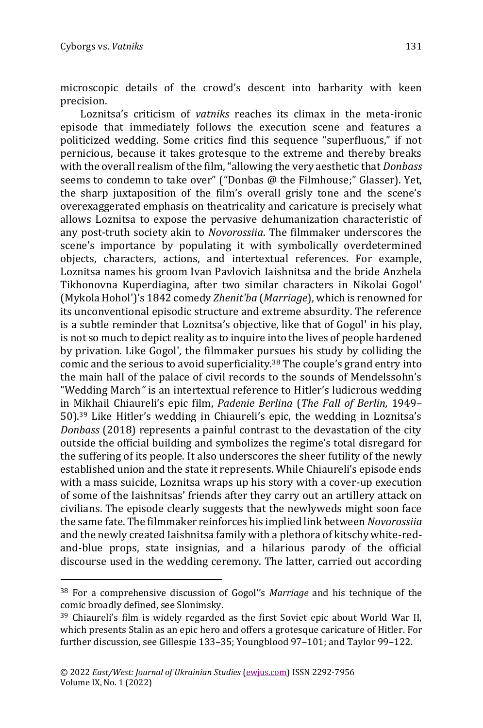microscopic details of the crowd's descent into barbarity with keen precision.

Loznitsa's criticism of *vatniks* reaches its climax in the meta-ironic episode that immediately follows the execution scene and features a politicized wedding. Some critics find this sequence "superfluous," if not pernicious, because it takes grotesque to the extreme and thereby breaks with the overall realism of the film, "allowing the very aesthetic that *Donbass* seems to condemn to take over" ("Donbas @ the Filmhouse;" Glasser). Yet, the sharp juxtaposition of the film's overall grisly tone and the scene's overexaggerated emphasis on theatricality and caricature is precisely what allows Loznitsa to expose the pervasive dehumanization characteristic of any post-truth society akin to *Novorossiia*. The filmmaker underscores the scene's importance by populating it with symbolically overdetermined objects, characters, actions, and intertextual references. For example, Loznitsa names his groom Ivan Pavlovich Iaishnitsa and the bride Anzhela Tikhonovna Kuperdiagina, after two similar characters in Nikolai Gogol' (Mykola Hohol')'s 1842 comedy *Zhenit'ba* (*Marriage*), which is renowned for its unconventional episodic structure and extreme absurdity. The reference is a subtle reminder that Loznitsa's objective, like that of Gogol' in his play, is not so much to depict reality as to inquire into the lives of people hardened by privation. Like Gogol', the filmmaker pursues his study by colliding the comic and the serious to avoid superficiality.<sup>38</sup> The couple's grand entry into the main hall of the palace of civil records to the sounds of Mendelssohn's "Wedding March*"* is an intertextual reference to Hitler's ludicrous wedding in Mikhail Chiaureli's epic film, *Padenie Berlina* (*The Fall of Berlin,* 1949– 50).<sup>39</sup> Like Hitler's wedding in Chiaureli's epic, the wedding in Loznitsa's *Donbass* (2018) represents a painful contrast to the devastation of the city outside the official building and symbolizes the regime's total disregard for the suffering of its people. It also underscores the sheer futility of the newly established union and the state it represents. While Chiaureli's episode ends with a mass suicide, Loznitsa wraps up his story with a cover-up execution of some of the Iaishnitsas' friends after they carry out an artillery attack on civilians. The episode clearly suggests that the newlyweds might soon face the same fate. The filmmaker reinforces his implied link between *Novorossiia* and the newly created Iaishnitsa family with a plethora of kitschy white-redand-blue props, state insignias, and a hilarious parody of the official discourse used in the wedding ceremony. The latter, carried out according

<sup>38</sup> For a comprehensive discussion of Gogol''s *Marriage* and his technique of the comic broadly defined, see Slonimsky.

<sup>39</sup> Chiaureli's film is widely regarded as the first Soviet epic about World War II, which presents Stalin as an epic hero and offers a grotesque caricature of Hitler. For further discussion, see Gillespie 133–35; Youngblood 97–101; and Taylor 99–122.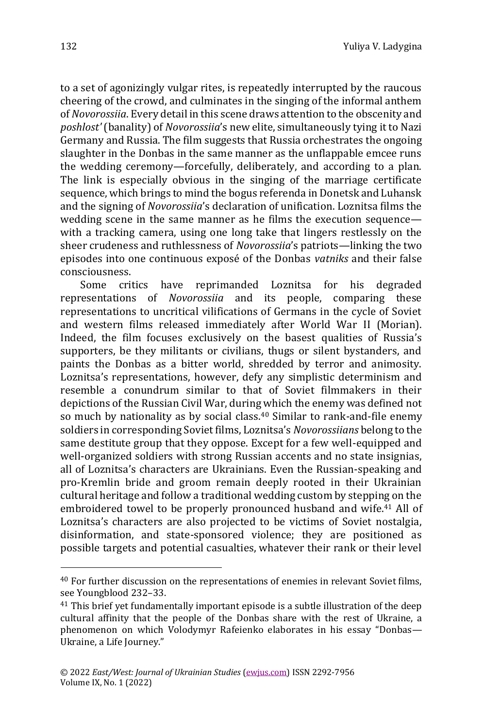to a set of agonizingly vulgar rites, is repeatedly interrupted by the raucous cheering of the crowd, and culminates in the singing of the informal anthem of *Novorossiia*. Every detail in this scene draws attention to the obscenity and *poshlost'* (banality) of *Novorossiia*'s new elite, simultaneously tying it to Nazi Germany and Russia. The film suggests that Russia orchestrates the ongoing slaughter in the Donbas in the same manner as the unflappable emcee runs the wedding ceremony—forcefully, deliberately, and according to a plan. The link is especially obvious in the singing of the marriage certificate sequence, which brings to mind the bogus referenda in Donetsk and Luhansk and the signing of *Novorossiia*'s declaration of unification. Loznitsa films the wedding scene in the same manner as he films the execution sequence with a tracking camera, using one long take that lingers restlessly on the sheer crudeness and ruthlessness of *Novorossiia*'s patriots—linking the two episodes into one continuous exposé of the Donbas *vatniks* and their false consciousness.

Some critics have reprimanded Loznitsa for his degraded representations of *Novorossiia* and its people, comparing these representations to uncritical vilifications of Germans in the cycle of Soviet and western films released immediately after World War II (Morian). Indeed, the film focuses exclusively on the basest qualities of Russia's supporters, be they militants or civilians, thugs or silent bystanders, and paints the Donbas as a bitter world, shredded by terror and animosity. Loznitsa's representations, however, defy any simplistic determinism and resemble a conundrum similar to that of Soviet filmmakers in their depictions of the Russian Civil War, during which the enemy was defined not so much by nationality as by social class.<sup>40</sup> Similar to rank-and-file enemy soldiers in corresponding Soviet films, Loznitsa's *Novorossiians* belong to the same destitute group that they oppose. Except for a few well-equipped and well-organized soldiers with strong Russian accents and no state insignias, all of Loznitsa's characters are Ukrainians. Even the Russian-speaking and pro-Kremlin bride and groom remain deeply rooted in their Ukrainian cultural heritage and follow a traditional wedding custom by stepping on the embroidered towel to be properly pronounced husband and wife.<sup>41</sup> All of Loznitsa's characters are also projected to be victims of Soviet nostalgia, disinformation, and state-sponsored violence; they are positioned as possible targets and potential casualties, whatever their rank or their level

<sup>40</sup> For further discussion on the representations of enemies in relevant Soviet films, see Youngblood 232–33.

<sup>&</sup>lt;sup>41</sup> This brief yet fundamentally important episode is a subtle illustration of the deep cultural affinity that the people of the Donbas share with the rest of Ukraine, a phenomenon on which Volodymyr Rafeienko elaborates in his essay "Donbas— Ukraine, a Life Journey."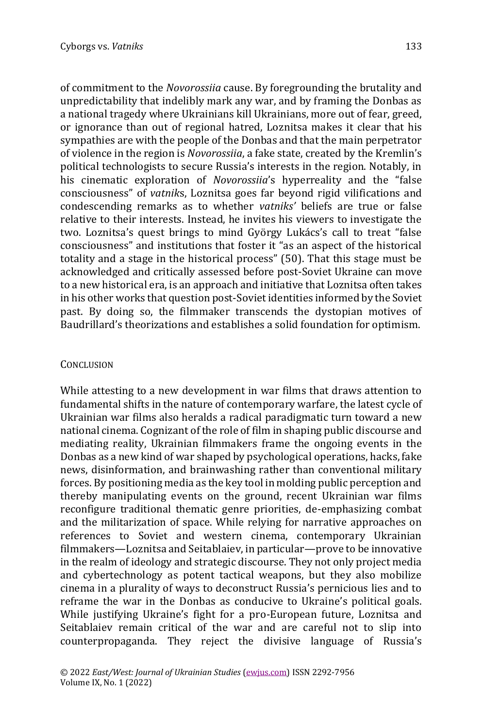of commitment to the *Novorossiia* cause. By foregrounding the brutality and unpredictability that indelibly mark any war, and by framing the Donbas as a national tragedy where Ukrainians kill Ukrainians, more out of fear, greed, or ignorance than out of regional hatred, Loznitsa makes it clear that his sympathies are with the people of the Donbas and that the main perpetrator of violence in the region is *Novorossiia*, a fake state, created by the Kremlin's political technologists to secure Russia's interests in the region. Notably, in his cinematic exploration of *Novorossiia*'s hyperreality and the "false consciousness" of *vatnik*s, Loznitsa goes far beyond rigid vilifications and condescending remarks as to whether *vatniks'* beliefs are true or false relative to their interests. Instead, he invites his viewers to investigate the two. Loznitsa's quest brings to mind György Lukács's call to treat "false consciousness" and institutions that foster it "as an aspect of the historical totality and a stage in the historical process" (50). That this stage must be acknowledged and critically assessed before post-Soviet Ukraine can move to a new historical era, is an approach and initiative that Loznitsa often takes in his other works that question post-Soviet identities informed by the Soviet past. By doing so, the filmmaker transcends the dystopian motives of Baudrillard's theorizations and establishes a solid foundation for optimism.

## **CONCLUSION**

While attesting to a new development in war films that draws attention to fundamental shifts in the nature of contemporary warfare, the latest cycle of Ukrainian war films also heralds a radical paradigmatic turn toward a new national cinema. Cognizant of the role of film in shaping public discourse and mediating reality, Ukrainian filmmakers frame the ongoing events in the Donbas as a new kind of war shaped by psychological operations, hacks, fake news, disinformation, and brainwashing rather than conventional military forces. By positioning media as the key tool in molding public perception and thereby manipulating events on the ground, recent Ukrainian war films reconfigure traditional thematic genre priorities, de-emphasizing combat and the militarization of space. While relying for narrative approaches on references to Soviet and western cinema, contemporary Ukrainian filmmakers—Loznitsa and Seitablaiev, in particular—prove to be innovative in the realm of ideology and strategic discourse. They not only project media and cybertechnology as potent tactical weapons, but they also mobilize cinema in a plurality of ways to deconstruct Russia's pernicious lies and to reframe the war in the Donbas as conducive to Ukraine's political goals. While justifying Ukraine's fight for a pro-European future, Loznitsa and Seitablaiev remain critical of the war and are careful not to slip into counterpropaganda. They reject the divisive language of Russia's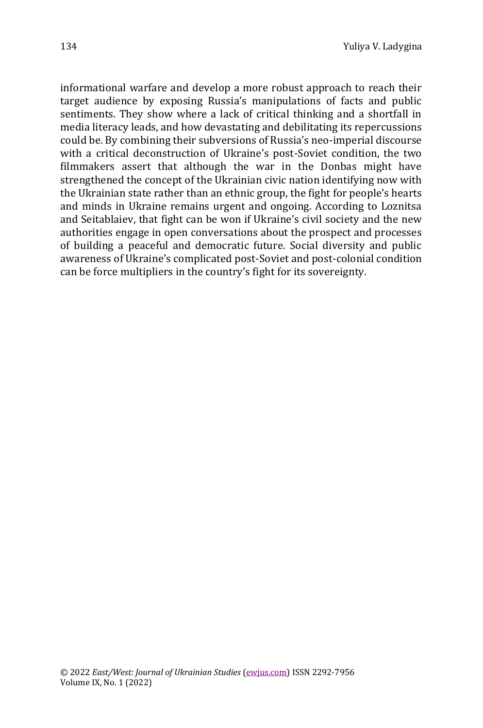informational warfare and develop a more robust approach to reach their target audience by exposing Russia's manipulations of facts and public sentiments. They show where a lack of critical thinking and a shortfall in media literacy leads, and how devastating and debilitating its repercussions could be. By combining their subversions of Russia's neo-imperial discourse with a critical deconstruction of Ukraine's post-Soviet condition, the two filmmakers assert that although the war in the Donbas might have strengthened the concept of the Ukrainian civic nation identifying now with the Ukrainian state rather than an ethnic group, the fight for people's hearts and minds in Ukraine remains urgent and ongoing. According to Loznitsa and Seitablaiev, that fight can be won if Ukraine's civil society and the new authorities engage in open conversations about the prospect and processes of building a peaceful and democratic future. Social diversity and public awareness of Ukraine's complicated post-Soviet and post-colonial condition can be force multipliers in the country's fight for its sovereignty.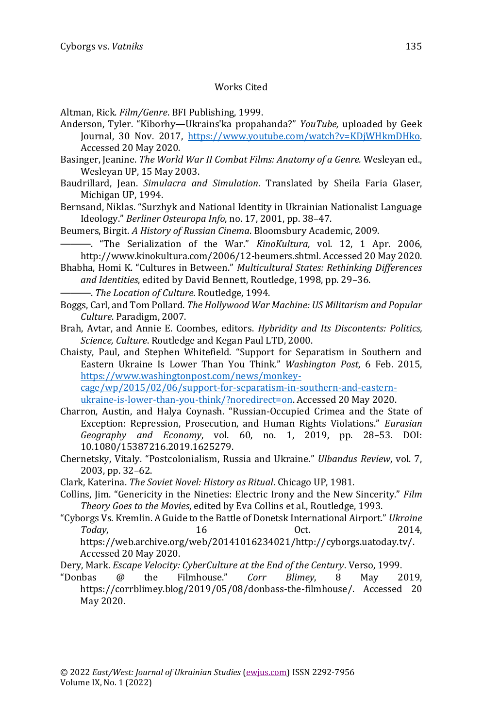#### Works Cited

Altman, Rick. *Film/Genre*. BFI Publishing, 1999.

- Anderson, Tyler. "Kiborhy—Ukrains'ka propahanda?" *YouTube,* uploaded by Geek Journal, 30 Nov. 2017, [https://www.youtube.com/watch?v=KDjWHkmDHko.](https://www.youtube.com/watch?v=KDjWHkmDHko)  Accessed 20 May 2020.
- Basinger, Jeanine. *The World War II Combat Films: Anatomy of a Genre.* Wesleyan ed., Wesleyan UP, 15 May 2003.
- Baudrillard, Jean. *Simulacra and Simulation*. Translated by Sheila Faria Glaser, Michigan UP, 1994.
- Bernsand, Niklas. "Surzhyk and National Identity in Ukrainian Nationalist Language Ideology." *Berliner Osteuropa Info*, no. 17, 2001, pp. 38–47.
- Beumers, Birgit. *A History of Russian Cinema*. Bloomsbury Academic, 2009.
- ———. "The Serialization of the War." *KinoKultura,* vol. 12, 1 Apr. 2006, [http://www.kinokultura.com/2006/12-beumers.shtml.](http://www.kinokultura.com/2006/12-beumers.shtml) Accessed 20 May 2020.
- Bhabha, Homi K. "Cultures in Between." *Multicultural States: Rethinking Differences and Identities*, edited by David Bennett, Routledge, 1998, pp. 29–36.
	- ———. *The Location of Culture*. Routledge, 1994.
- Boggs, Carl, and Tom Pollard. *The Hollywood War Machine: US Militarism and Popular Culture*. Paradigm, 2007.
- Brah, Avtar, and Annie E. Coombes, editors. *Hybridity and Its Discontents: Politics, Science, Culture*. Routledge and Kegan Paul LTD, 2000.
- Chaisty, Paul, and Stephen Whitefield. "Support for Separatism in Southern and Eastern Ukraine Is Lower Than You Think." *Washington Post*, 6 Feb. 2015, [https://www.washingtonpost.com/news/monkey](https://www.washingtonpost.com/news/monkey-cage/wp/2015/02/06/support-for-separatism-in-southern-and-eastern-ukraine-is-lower-than-you-think/?noredirect=on)[cage/wp/2015/02/06/support-for-separatism-in-southern-and-eastern](https://www.washingtonpost.com/news/monkey-cage/wp/2015/02/06/support-for-separatism-in-southern-and-eastern-ukraine-is-lower-than-you-think/?noredirect=on)[ukraine-is-lower-than-you-think/?noredirect=on.](https://www.washingtonpost.com/news/monkey-cage/wp/2015/02/06/support-for-separatism-in-southern-and-eastern-ukraine-is-lower-than-you-think/?noredirect=on) Accessed 20 May 2020.
- Charron, Austin, and Halya Coynash. "Russian-Occupied Crimea and the State of Exception: Repression, Prosecution, and Human Rights Violations." *Eurasian Geography and Economy*, vol. 60, no. 1, 2019, pp. 28–53. DOI: 10.1080/15387216.2019.1625279.
- Chernetsky, Vitaly. "Postcolonialism, Russia and Ukraine." *Ulbandus Review*, vol. 7, 2003, pp. 32–62.
- Clark, Katerina. *The Soviet Novel: History as Ritual*. Chicago UP, 1981.
- Collins, Jim. "Genericity in the Nineties: Electric Irony and the New Sincerity." *Film Theory Goes to the Movies*, edited by Eva Collins et al., Routledge, 1993.
- "Cyborgs Vs. Kremlin. A Guide to the Battle of Donetsk International Airport." *Ukraine Today*, 16 Oct. 2014, [https://web.archive.org/web/20141016234021/http://cyborgs.uatoday.tv/.](https://web.archive.org/web/20141016234021/http:/cyborgs.uatoday.tv/)  Accessed 20 May 2020.
- Dery, Mark. *Escape Velocity: CyberCulture at the End of the Century*. Verso, 1999.
- "Donbas @ the Filmhouse." *Corr Blimey*, 8 May 2019, [https://corrblimey.blog/2019/05/08/donbass-the-filmhouse/.](https://corrblimey.blog/2019/05/08/donbass-the-filmhouse/) Accessed 20 May 2020.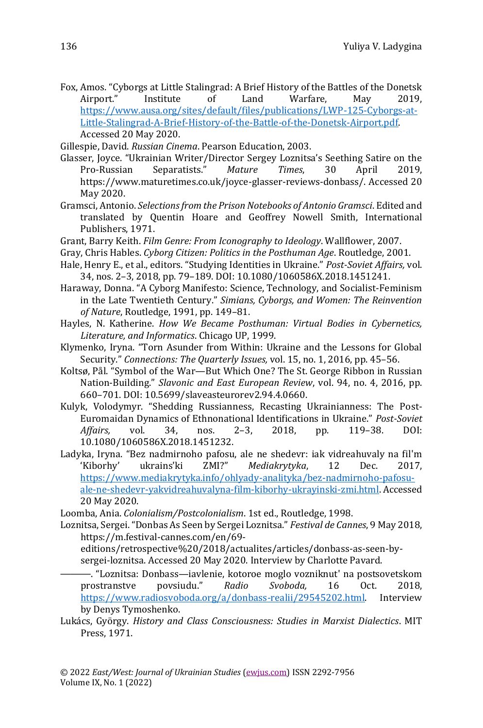- Fox, Amos. "Cyborgs at Little Stalingrad: A Brief History of the Battles of the Donetsk Airport." Institute of Land Warfare, May 2019, [https://www.ausa.org/sites/default/files/publications/LWP-125-Cyborgs-at-](https://www.ausa.org/sites/default/files/publications/LWP-125-Cyborgs-at-Little-Stalingrad-A-Brief-History-of-the-Battle-of-the-Donetsk-Airport.pdf)[Little-Stalingrad-A-Brief-History-of-the-Battle-of-the-Donetsk-Airport.pdf.](https://www.ausa.org/sites/default/files/publications/LWP-125-Cyborgs-at-Little-Stalingrad-A-Brief-History-of-the-Battle-of-the-Donetsk-Airport.pdf)  Accessed 20 May 2020.
- Gillespie, David. *Russian Cinema*. Pearson Education, 2003.
- Glasser, Joyce. "Ukrainian Writer/Director Sergey Loznitsa's Seething Satire on the Pro-Russian Separatists." *Mature Times*, 30 April 2019, [https://www.maturetimes.co.uk/joyce-glasser-reviews-donbass/.](https://www.maturetimes.co.uk/joyce-glasser-reviews-donbass/) Accessed 20 May 2020.
- Gramsci, Antonio. *Selections from the Prison Notebooks of Antonio Gramsci*. Edited and translated by Quentin Hoare and Geoffrey Nowell Smith, International Publishers, 1971.
- Grant, Barry Keith. *Film Genre: From Iconography to Ideology*. Wallflower, 2007.
- Gray, Chris Hables. *Cyborg Citizen: Politics in the Posthuman Age*. Routledge, 2001.
- Hale, Henry E., et al., editors. "Studying Identities in Ukraine." *Post-Soviet Affairs,* vol. 34, nos. 2–3, 2018, pp. 79–189. DOI: 10.1080/1060586X.2018.1451241.
- Haraway, Donna. "A Cyborg Manifesto: Science, Technology, and Socialist-Feminism in the Late Twentieth Century." *Simians, Cyborgs, and Women: The Reinvention of Nature*, Routledge, 1991, pp. 149–81.
- Hayles, N. Katherine. *How We Became Posthuman: Virtual Bodies in Cybernetics, Literature, and Informatics*. Chicago UP, 1999.
- Klymenko, Iryna. "Torn Asunder from Within: Ukraine and the Lessons for Global Security." *Connections: The Quarterly Issues,* vol. 15, no. 1, 2016, pp. 45–56.
- Koltsø, Pål. "Symbol of the War—But Which One? The St. George Ribbon in Russian Nation-Building." *Slavonic and East European Review*, vol. 94, no. 4, 2016, pp. 660–701. DOI: [10.5699/slaveasteurorev2.94.4.0660.](https://doi.org/10.5699/slaveasteurorev2.94.4.0660)
- Kulyk, Volodymyr. "Shedding Russianness, Recasting Ukrainianness: The Post-Euromaidan Dynamics of Ethnonational Identifications in Ukraine." *Post-Soviet Affairs,* vol. 34, nos. 2–3, 2018, pp. 119–38. DOI: [10.1080/1060586X.2018.1451232.](https://doi-org.ezproxy.macewan.ca/10.1080/1060586X.2018.1451232)
- Ladyka, Iryna. "Bez nadmirnoho pafosu, ale ne shedevr: iak vidreahuvaly na fil'm 'Kiborhy' ukrains'ki ZMI?" *Mediakrytyka*, 12 Dec. 2017, [https://www.mediakrytyka.info/ohlyady-analityka/bez-nadmirnoho-pafosu](https://www.mediakrytyka.info/ohlyady-analityka/bez-nadmirnoho-pafosu-ale-ne-shedevr-yakvidreahuvalyna-film-kiborhy-ukrayinski-zmi.html)[ale-ne-shedevr-yakvidreahuvalyna-film-kiborhy-ukrayinski-zmi.html.](https://www.mediakrytyka.info/ohlyady-analityka/bez-nadmirnoho-pafosu-ale-ne-shedevr-yakvidreahuvalyna-film-kiborhy-ukrayinski-zmi.html) Accessed 20 May 2020.
- Loomba, Ania. *Colonialism/Postcolonialism*. 1st ed., Routledge, 1998.
- Loznitsa, Sergei. "Donbas As Seen by Sergei Loznitsa." *Festival de Cannes*, 9 May 2018, [https://m.festival-cannes.com/en/69](https://m.festival-cannes.com/en/69-editions/retrospective%20/2018/actualites/articles/donbass-as-seen-by-sergei-loznitsa)
	- [editions/retrospective%20/2018/actualites/articles/donbass-as-seen-by](https://m.festival-cannes.com/en/69-editions/retrospective%20/2018/actualites/articles/donbass-as-seen-by-sergei-loznitsa)[sergei-loznitsa.](https://m.festival-cannes.com/en/69-editions/retrospective%20/2018/actualites/articles/donbass-as-seen-by-sergei-loznitsa) Accessed 20 May 2020. Interview by Charlotte Pavard.
	- ———. "Loznitsa: Donbass—iavlenie, kotoroe moglo vozniknut' na postsovetskom prostranstve povsiudu." *Radio Svoboda,* 16 Oct. 2018, [https://www.radiosvoboda.org/a/donbass-realii/29545202.html.](https://www.radiosvoboda.org/a/donbass-realii/29545202.html) Interview by Denys Tymoshenko.
- Lukács, György. *History and Class Consciousness: Studies in Marxist Dialectics*. MIT Press, 1971.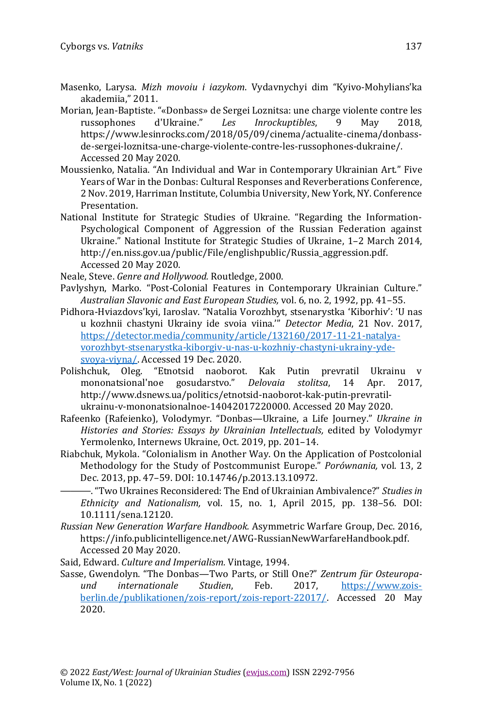- Masenko, Larysa. *Mizh movoiu i iazykom*. Vydavnychyi dim "Kyivo-Mohylians'ka akademiia," 2011.
- Morian, Jean-Baptiste. "«Donbass» de Sergei Loznitsa: une charge violente contre les russophones d'Ukraine." *Les Inrockuptibles*, 9 May 2018, [https://www.lesinrocks.com/2018/05/09/cinema/actualite-cinema/donbass](https://www.lesinrocks.com/2018/05/09/cinema/actualite-cinema/donbass-de-sergei-loznitsa-une-charge-violente-contre-les-russophones-dukraine/)[de-sergei-loznitsa-une-charge-violente-contre-les-russophones-dukraine/.](https://www.lesinrocks.com/2018/05/09/cinema/actualite-cinema/donbass-de-sergei-loznitsa-une-charge-violente-contre-les-russophones-dukraine/) Accessed 20 May 2020.
- Moussienko, Natalia. "An Individual and War in Contemporary Ukrainian Art." Five Years of War in the Donbas: Cultural Responses and Reverberations Conference, 2 Nov. 2019, Harriman Institute, Columbia University, New York, NY. Conference Presentation.
- National Institute for Strategic Studies of Ukraine. "Regarding the Information-Psychological Component of Aggression of the Russian Federation against Ukraine." National Institute for Strategic Studies of Ukraine, 1–2 March 2014, [http://en.niss.gov.ua/public/File/englishpublic/Russia\\_aggression.pdf.](http://en.niss.gov.ua/public/File/englishpublic/Russia_aggression.pdf) Accessed 20 May 2020.
- Neale, Steve. *Genre and Hollywood.* Routledge, 2000.
- Pavlyshyn, Marko. "Post-Colonial Features in Contemporary Ukrainian Culture." *Australian Slavonic and East European Studies,* vol. 6, no. 2, 1992, pp. 41–55.
- Pidhora-Hviazdovs'kyi, Iaroslav. "Natalia Vorozhbyt, stsenarystka 'Kiborhiv': 'U nas u kozhnii chastyni Ukrainy ide svoia viina.'" *Detector Media*, 21 Nov. 2017, [https://detector.media/community/article/132160/2017-11-21-natalya](https://detector.media/community/article/132160/2017-11-21-natalya-vorozhbyt-stsenarystka-kiborgiv-u-nas-u-kozhniy-chastyni-ukrainy-yde-svoya-viyna/)[vorozhbyt-stsenarystka-kiborgiv-u-nas-u-kozhniy-chastyni-ukrainy-yde](https://detector.media/community/article/132160/2017-11-21-natalya-vorozhbyt-stsenarystka-kiborgiv-u-nas-u-kozhniy-chastyni-ukrainy-yde-svoya-viyna/)[svoya-viyna/.](https://detector.media/community/article/132160/2017-11-21-natalya-vorozhbyt-stsenarystka-kiborgiv-u-nas-u-kozhniy-chastyni-ukrainy-yde-svoya-viyna/) Accessed 19 Dec. 2020.
- Polishchuk, Oleg. "Etnotsid naoborot. Kak Putin prevratil Ukrainu v mononatsional'noe gosudarstvo." *Delovaia stolitsa*, 14 Apr. 2017, [http://www.dsnews.ua/politics/etnotsid-naoborot-kak-putin-prevratil](http://www.dsnews.ua/politics/etnotsid-naoborot-kak-putin-prevratil-ukrainu-v-mononatsionalnoe-14042017220000)[ukrainu-v-mononatsionalnoe-14042017220000.](http://www.dsnews.ua/politics/etnotsid-naoborot-kak-putin-prevratil-ukrainu-v-mononatsionalnoe-14042017220000) Accessed 20 May 2020.
- Rafeenko (Rafeienko), Volodymyr. "Donbas—Ukraine, a Life Journey." *Ukraine in Histories and Stories: Essays by Ukrainian Intellectuals,* edited by Volodymyr Yermolenko, Internews Ukraine, Oct. 2019, pp. 201–14.
- Riabchuk, Mykola. "Colonialism in Another Way. On the Application of Postcolonial Methodology for the Study of Postcommunist Europe." *Porównania,* vol. 13, 2 Dec. 2013, pp. 47–59. DOI: 10.14746/p.2013.13.10972.
	- ———. "Two Ukraines Reconsidered: The End of Ukrainian Ambivalence?" *Studies in Ethnicity and Nationalism,* vol. 15, no. 1, April 2015, pp. 138–56. DOI: 10.1111/sena.12120.
- *Russian New Generation Warfare Handbook.* Asymmetric Warfare Group, Dec. 2016, [https://info.publicintelligence.net/AWG-RussianNewWarfareHandbook.pdf.](https://info.publicintelligence.net/AWG-RussianNewWarfareHandbook.pdf)  Accessed 20 May 2020.

Said, Edward. *Culture and Imperialism.* Vintage, 1994.

Sasse, Gwendolyn. "The Donbas—Two Parts, or Still One?" *Zentrum für Osteuropaund internationale Studien*, Feb. 2017, [https://www.zois](https://www.zois-berlin.de/publikationen/zois-report/zois-report-22017/)[berlin.de/publikationen/zois-report/zois-report-22017/.](https://www.zois-berlin.de/publikationen/zois-report/zois-report-22017/) Accessed 20 May 2020.